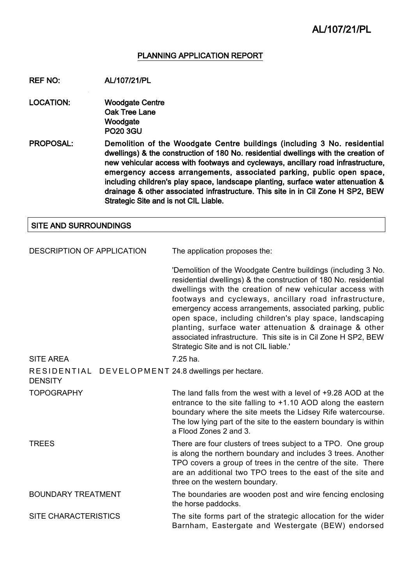#### PLANNING APPLICATION REPORT

REF NO: AL/107/21/PL

LOCATION: Woodgate Centre Oak Tree Lane **Woodgate** PO20 3GU

PROPOSAL: Demolition of the Woodgate Centre buildings (including 3 No. residential dwellings) & the construction of 180 No. residential dwellings with the creation of new vehicular access with footways and cycleways, ancillary road infrastructure, emergency access arrangements, associated parking, public open space, including children's play space, landscape planting, surface water attenuation & drainage & other associated infrastructure. This site in in Cil Zone H SP2, BEW Strategic Site and is not CIL Liable.

#### SITE AND SURROUNDINGS

| DESCRIPTION OF APPLICATION                                            | The application proposes the:                                                                                                                                                                                                                                                                                                                                                                                                                                                                                                                          |  |
|-----------------------------------------------------------------------|--------------------------------------------------------------------------------------------------------------------------------------------------------------------------------------------------------------------------------------------------------------------------------------------------------------------------------------------------------------------------------------------------------------------------------------------------------------------------------------------------------------------------------------------------------|--|
|                                                                       | 'Demolition of the Woodgate Centre buildings (including 3 No.<br>residential dwellings) & the construction of 180 No. residential<br>dwellings with the creation of new vehicular access with<br>footways and cycleways, ancillary road infrastructure,<br>emergency access arrangements, associated parking, public<br>open space, including children's play space, landscaping<br>planting, surface water attenuation & drainage & other<br>associated infrastructure. This site is in Cil Zone H SP2, BEW<br>Strategic Site and is not CIL liable.' |  |
| <b>SITE AREA</b>                                                      | 7.25 ha.                                                                                                                                                                                                                                                                                                                                                                                                                                                                                                                                               |  |
| RESIDENTIAL DEVELOPMENT 24.8 dwellings per hectare.<br><b>DENSITY</b> |                                                                                                                                                                                                                                                                                                                                                                                                                                                                                                                                                        |  |
| <b>TOPOGRAPHY</b>                                                     | The land falls from the west with a level of +9.28 AOD at the<br>entrance to the site falling to $+1.10$ AOD along the eastern<br>boundary where the site meets the Lidsey Rife watercourse.<br>The low lying part of the site to the eastern boundary is within<br>a Flood Zones 2 and 3.                                                                                                                                                                                                                                                             |  |
| <b>TREES</b>                                                          | There are four clusters of trees subject to a TPO. One group<br>is along the northern boundary and includes 3 trees. Another<br>TPO covers a group of trees in the centre of the site. There<br>are an additional two TPO trees to the east of the site and<br>three on the western boundary.                                                                                                                                                                                                                                                          |  |
| <b>BOUNDARY TREATMENT</b>                                             | The boundaries are wooden post and wire fencing enclosing<br>the horse paddocks.                                                                                                                                                                                                                                                                                                                                                                                                                                                                       |  |
| <b>SITE CHARACTERISTICS</b>                                           | The site forms part of the strategic allocation for the wider<br>Barnham, Eastergate and Westergate (BEW) endorsed                                                                                                                                                                                                                                                                                                                                                                                                                                     |  |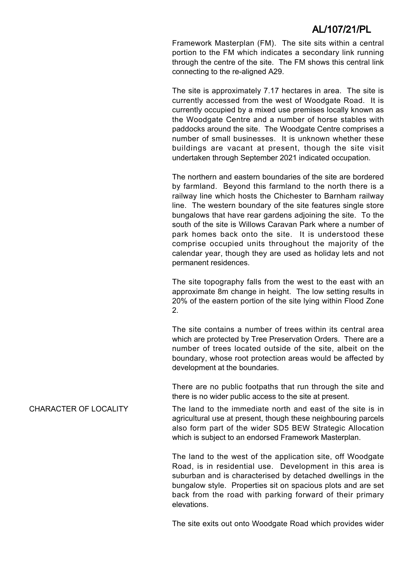Framework Masterplan (FM). The site sits within a central portion to the FM which indicates a secondary link running through the centre of the site. The FM shows this central link connecting to the re-aligned A29.

The site is approximately 7.17 hectares in area. The site is currently accessed from the west of Woodgate Road. It is currently occupied by a mixed use premises locally known as the Woodgate Centre and a number of horse stables with paddocks around the site. The Woodgate Centre comprises a number of small businesses. It is unknown whether these buildings are vacant at present, though the site visit undertaken through September 2021 indicated occupation.

The northern and eastern boundaries of the site are bordered by farmland. Beyond this farmland to the north there is a railway line which hosts the Chichester to Barnham railway line. The western boundary of the site features single store bungalows that have rear gardens adjoining the site. To the south of the site is Willows Caravan Park where a number of park homes back onto the site. It is understood these comprise occupied units throughout the majority of the calendar year, though they are used as holiday lets and not permanent residences.

The site topography falls from the west to the east with an approximate 8m change in height. The low setting results in 20% of the eastern portion of the site lying within Flood Zone 2.

The site contains a number of trees within its central area which are protected by Tree Preservation Orders. There are a number of trees located outside of the site, albeit on the boundary, whose root protection areas would be affected by development at the boundaries.

There are no public footpaths that run through the site and there is no wider public access to the site at present.

CHARACTER OF LOCALITY The land to the immediate north and east of the site is in agricultural use at present, though these neighbouring parcels also form part of the wider SD5 BEW Strategic Allocation which is subject to an endorsed Framework Masterplan.

> The land to the west of the application site, off Woodgate Road, is in residential use. Development in this area is suburban and is characterised by detached dwellings in the bungalow style. Properties sit on spacious plots and are set back from the road with parking forward of their primary elevations.

> The site exits out onto Woodgate Road which provides wider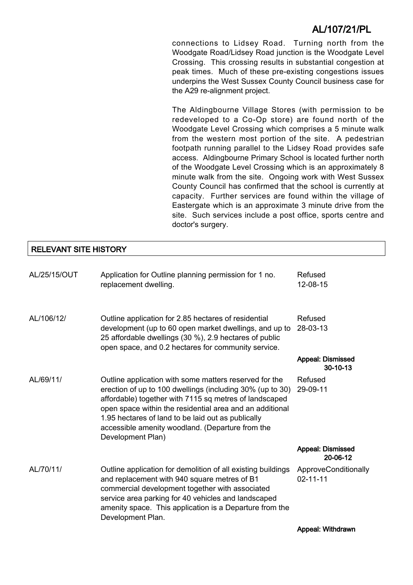connections to Lidsey Road. Turning north from the Woodgate Road/Lidsey Road junction is the Woodgate Level Crossing. This crossing results in substantial congestion at peak times. Much of these pre-existing congestions issues underpins the West Sussex County Council business case for the A29 re-alignment project.

The Aldingbourne Village Stores (with permission to be redeveloped to a Co-Op store) are found north of the Woodgate Level Crossing which comprises a 5 minute walk from the western most portion of the site. A pedestrian footpath running parallel to the Lidsey Road provides safe access. Aldingbourne Primary School is located further north of the Woodgate Level Crossing which is an approximately 8 minute walk from the site. Ongoing work with West Sussex County Council has confirmed that the school is currently at capacity. Further services are found within the village of Eastergate which is an approximate 3 minute drive from the site. Such services include a post office, sports centre and doctor's surgery.

### RELEVANT SITE HISTORY

| AL/25/15/OUT | Application for Outline planning permission for 1 no.<br>replacement dwelling.                                                                                                                                                                                                                                                                                           | Refused<br>12-08-15                    |
|--------------|--------------------------------------------------------------------------------------------------------------------------------------------------------------------------------------------------------------------------------------------------------------------------------------------------------------------------------------------------------------------------|----------------------------------------|
| AL/106/12/   | Outline application for 2.85 hectares of residential<br>development (up to 60 open market dwellings, and up to<br>25 affordable dwellings (30 %), 2.9 hectares of public<br>open space, and 0.2 hectares for community service.                                                                                                                                          | Refused<br>28-03-13                    |
|              |                                                                                                                                                                                                                                                                                                                                                                          | <b>Appeal: Dismissed</b><br>30-10-13   |
| AL/69/11/    | Outline application with some matters reserved for the<br>erection of up to 100 dwellings (including 30% (up to 30)<br>affordable) together with 7115 sq metres of landscaped<br>open space within the residential area and an additional<br>1.95 hectares of land to be laid out as publically<br>accessible amenity woodland. (Departure from the<br>Development Plan) | Refused<br>29-09-11                    |
|              |                                                                                                                                                                                                                                                                                                                                                                          | <b>Appeal: Dismissed</b><br>20-06-12   |
| AL/70/11/    | Outline application for demolition of all existing buildings<br>and replacement with 940 square metres of B1<br>commercial development together with associated<br>service area parking for 40 vehicles and landscaped<br>amenity space. This application is a Departure from the<br>Development Plan.                                                                   | ApproveConditionally<br>$02 - 11 - 11$ |
|              |                                                                                                                                                                                                                                                                                                                                                                          | Appeal: Withdrawn                      |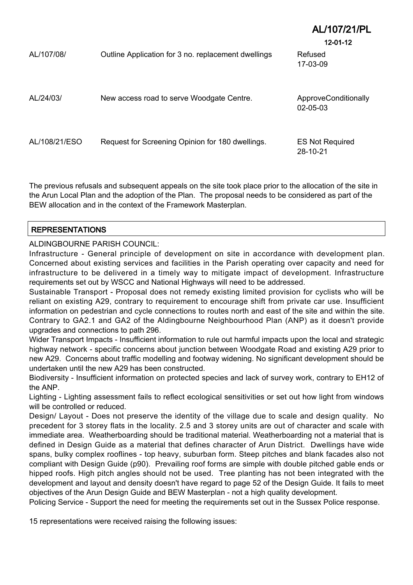|               |                                                     | ALTUNZ IPL<br>$12 - 01 - 12$       |
|---------------|-----------------------------------------------------|------------------------------------|
| AL/107/08/    | Outline Application for 3 no. replacement dwellings | Refused<br>17-03-09                |
| AL/24/03/     | New access road to serve Woodgate Centre.           | ApproveConditionally<br>02-05-03   |
| AL/108/21/ESO | Request for Screening Opinion for 180 dwellings.    | <b>ES Not Required</b><br>28-10-21 |

 $\frac{1}{4}$ 

The previous refusals and subsequent appeals on the site took place prior to the allocation of the site in the Arun Local Plan and the adoption of the Plan. The proposal needs to be considered as part of the BEW allocation and in the context of the Framework Masterplan.

### REPRESENTATIONS

ALDINGBOURNE PARISH COUNCIL:

Infrastructure - General principle of development on site in accordance with development plan. Concerned about existing services and facilities in the Parish operating over capacity and need for infrastructure to be delivered in a timely way to mitigate impact of development. Infrastructure requirements set out by WSCC and National Highways will need to be addressed.

Sustainable Transport - Proposal does not remedy existing limited provision for cyclists who will be reliant on existing A29, contrary to requirement to encourage shift from private car use. Insufficient information on pedestrian and cycle connections to routes north and east of the site and within the site. Contrary to GA2.1 and GA2 of the Aldingbourne Neighbourhood Plan (ANP) as it doesn't provide upgrades and connections to path 296.

Wider Transport Impacts - Insufficient information to rule out harmful impacts upon the local and strategic highway network - specific concerns about junction between Woodgate Road and existing A29 prior to new A29. Concerns about traffic modelling and footway widening. No significant development should be undertaken until the new A29 has been constructed.

Biodiversity - Insufficient information on protected species and lack of survey work, contrary to EH12 of the ANP.

Lighting - Lighting assessment fails to reflect ecological sensitivities or set out how light from windows will be controlled or reduced.

Design/ Layout - Does not preserve the identity of the village due to scale and design quality. No precedent for 3 storey flats in the locality. 2.5 and 3 storey units are out of character and scale with immediate area. Weatherboarding should be traditional material. Weatherboarding not a material that is defined in Design Guide as a material that defines character of Arun District. Dwellings have wide spans, bulky complex rooflines - top heavy, suburban form. Steep pitches and blank facades also not compliant with Design Guide (p90). Prevailing roof forms are simple with double pitched gable ends or hipped roofs. High pitch angles should not be used. Tree planting has not been integrated with the development and layout and density doesn't have regard to page 52 of the Design Guide. It fails to meet objectives of the Arun Design Guide and BEW Masterplan - not a high quality development.

Policing Service - Support the need for meeting the requirements set out in the Sussex Police response.

15 representations were received raising the following issues: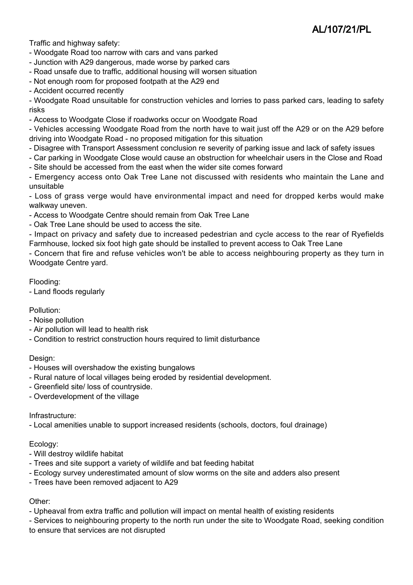Traffic and highway safety:

- Woodgate Road too narrow with cars and vans parked
- Junction with A29 dangerous, made worse by parked cars
- Road unsafe due to traffic, additional housing will worsen situation
- Not enough room for proposed footpath at the A29 end
- Accident occurred recently

- Woodgate Road unsuitable for construction vehicles and lorries to pass parked cars, leading to safety risks

- Access to Woodgate Close if roadworks occur on Woodgate Road

- Vehicles accessing Woodgate Road from the north have to wait just off the A29 or on the A29 before driving into Woodgate Road - no proposed mitigation for this situation

- Disagree with Transport Assessment conclusion re severity of parking issue and lack of safety issues
- Car parking in Woodgate Close would cause an obstruction for wheelchair users in the Close and Road
- Site should be accessed from the east when the wider site comes forward

- Emergency access onto Oak Tree Lane not discussed with residents who maintain the Lane and unsuitable

- Loss of grass verge would have environmental impact and need for dropped kerbs would make walkway uneven.

- Access to Woodgate Centre should remain from Oak Tree Lane
- Oak Tree Lane should be used to access the site.

- Impact on privacy and safety due to increased pedestrian and cycle access to the rear of Ryefields Farmhouse, locked six foot high gate should be installed to prevent access to Oak Tree Lane

- Concern that fire and refuse vehicles won't be able to access neighbouring property as they turn in Woodgate Centre vard.

Flooding:

- Land floods regularly

Pollution:

- Noise pollution
- Air pollution will lead to health risk
- Condition to restrict construction hours required to limit disturbance

### Design:

- Houses will overshadow the existing bungalows
- Rural nature of local villages being eroded by residential development.
- Greenfield site/ loss of countryside.
- Overdevelopment of the village

### Infrastructure:

- Local amenities unable to support increased residents (schools, doctors, foul drainage)

### Ecology:

- Will destroy wildlife habitat
- Trees and site support a variety of wildlife and bat feeding habitat
- Ecology survey underestimated amount of slow worms on the site and adders also present
- Trees have been removed adjacent to A29

### Other:

- Upheaval from extra traffic and pollution will impact on mental health of existing residents

- Services to neighbouring property to the north run under the site to Woodgate Road, seeking condition to ensure that services are not disrupted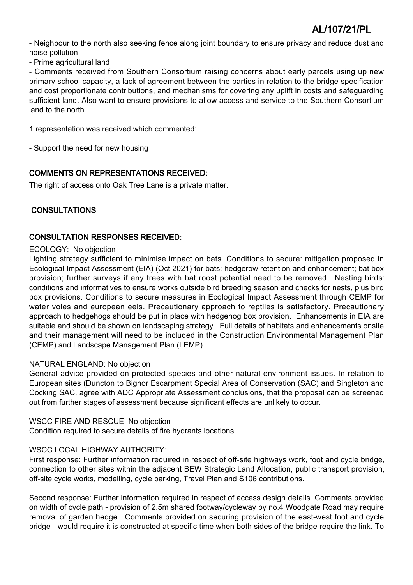- Neighbour to the north also seeking fence along joint boundary to ensure privacy and reduce dust and noise pollution

- Prime agricultural land

- Comments received from Southern Consortium raising concerns about early parcels using up new primary school capacity, a lack of agreement between the parties in relation to the bridge specification and cost proportionate contributions, and mechanisms for covering any uplift in costs and safeguarding sufficient land. Also want to ensure provisions to allow access and service to the Southern Consortium land to the north.

1 representation was received which commented:

- Support the need for new housing

### COMMENTS ON REPRESENTATIONS RECEIVED:

The right of access onto Oak Tree Lane is a private matter.

### **CONSULTATIONS**

### CONSULTATION RESPONSES RECEIVED:

### ECOLOGY: No objection

Lighting strategy sufficient to minimise impact on bats. Conditions to secure: mitigation proposed in Ecological Impact Assessment (EIA) (Oct 2021) for bats; hedgerow retention and enhancement; bat box provision; further surveys if any trees with bat roost potential need to be removed. Nesting birds: conditions and informatives to ensure works outside bird breeding season and checks for nests, plus bird box provisions. Conditions to secure measures in Ecological Impact Assessment through CEMP for water voles and european eels. Precautionary approach to reptiles is satisfactory. Precautionary approach to hedgehogs should be put in place with hedgehog box provision. Enhancements in EIA are suitable and should be shown on landscaping strategy. Full details of habitats and enhancements onsite and their management will need to be included in the Construction Environmental Management Plan (CEMP) and Landscape Management Plan (LEMP).

### NATURAL ENGLAND: No objection

General advice provided on protected species and other natural environment issues. In relation to European sites (Duncton to Bignor Escarpment Special Area of Conservation (SAC) and Singleton and Cocking SAC, agree with ADC Appropriate Assessment conclusions, that the proposal can be screened out from further stages of assessment because significant effects are unlikely to occur.

### WSCC FIRE AND RESCUE: No objection

Condition required to secure details of fire hydrants locations.

### WSCC LOCAL HIGHWAY AUTHORITY:

First response: Further information required in respect of off-site highways work, foot and cycle bridge, connection to other sites within the adjacent BEW Strategic Land Allocation, public transport provision, off-site cycle works, modelling, cycle parking, Travel Plan and S106 contributions.

Second response: Further information required in respect of access design details. Comments provided on width of cycle path - provision of 2.5m shared footway/cycleway by no.4 Woodgate Road may require removal of garden hedge. Comments provided on securing provision of the east-west foot and cycle bridge - would require it is constructed at specific time when both sides of the bridge require the link. To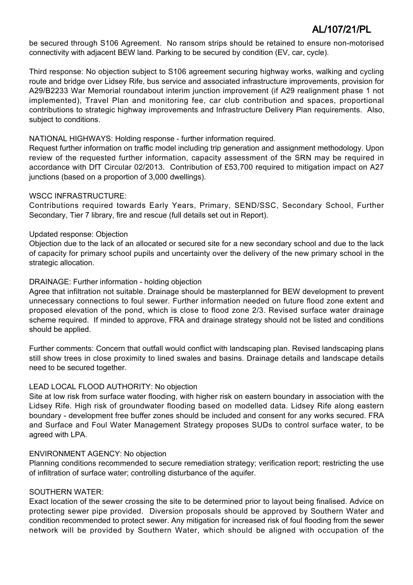be secured through S106 Agreement. No ransom strips should be retained to ensure non-motorised connectivity with adjacent BEW land. Parking to be secured by condition (EV, car, cycle).

Third response: No objection subject to S106 agreement securing highway works, walking and cycling route and bridge over Lidsey Rife, bus service and associated infrastructure improvements, provision for A29/B2233 War Memorial roundabout interim junction improvement (if A29 realignment phase 1 not implemented), Travel Plan and monitoring fee, car club contribution and spaces, proportional contributions to strategic highway improvements and Infrastructure Delivery Plan requirements. Also, subject to conditions.

### NATIONAL HIGHWAYS: Holding response - further information required.

Request further information on traffic model including trip generation and assignment methodology. Upon review of the requested further information, capacity assessment of the SRN may be required in accordance with DfT Circular 02/2013. Contribution of £53,700 required to mitigation impact on A27 junctions (based on a proportion of 3,000 dwellings).

### WSCC INFRASTRUCTURE:

Contributions required towards Early Years, Primary, SEND/SSC, Secondary School, Further Secondary, Tier 7 library, fire and rescue (full details set out in Report).

### Updated response: Objection

Objection due to the lack of an allocated or secured site for a new secondary school and due to the lack of capacity for primary school pupils and uncertainty over the delivery of the new primary school in the strategic allocation.

### DRAINAGE: Further information - holding objection

Agree that infiltration not suitable. Drainage should be masterplanned for BEW development to prevent unnecessary connections to foul sewer. Further information needed on future flood zone extent and proposed elevation of the pond, which is close to flood zone 2/3. Revised surface water drainage scheme required. If minded to approve, FRA and drainage strategy should not be listed and conditions should be applied.

Further comments: Concern that outfall would conflict with landscaping plan. Revised landscaping plans still show trees in close proximity to lined swales and basins. Drainage details and landscape details need to be secured together.

### LEAD LOCAL FLOOD AUTHORITY: No objection

Site at low risk from surface water flooding, with higher risk on eastern boundary in association with the Lidsey Rife. High risk of groundwater flooding based on modelled data. Lidsey Rife along eastern boundary - development free buffer zones should be included and consent for any works secured. FRA and Surface and Foul Water Management Strategy proposes SUDs to control surface water, to be agreed with LPA.

### ENVIRONMENT AGENCY: No objection

Planning conditions recommended to secure remediation strategy; verification report; restricting the use of infiltration of surface water; controlling disturbance of the aquifer.

### SOUTHERN WATER:

Exact location of the sewer crossing the site to be determined prior to layout being finalised. Advice on protecting sewer pipe provided. Diversion proposals should be approved by Southern Water and condition recommended to protect sewer. Any mitigation for increased risk of foul flooding from the sewer network will be provided by Southern Water, which should be aligned with occupation of the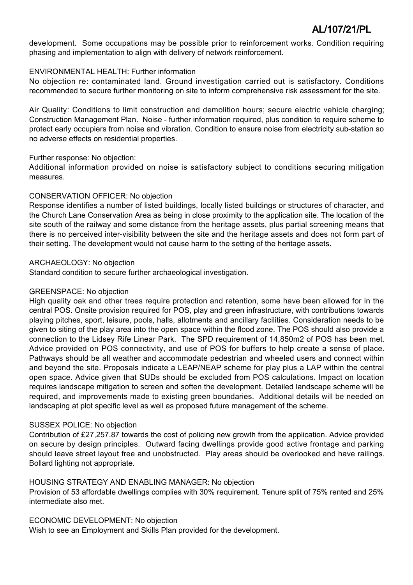development. Some occupations may be possible prior to reinforcement works. Condition requiring phasing and implementation to align with delivery of network reinforcement.

### ENVIRONMENTAL HEALTH: Further information

No objection re: contaminated land. Ground investigation carried out is satisfactory. Conditions recommended to secure further monitoring on site to inform comprehensive risk assessment for the site.

Air Quality: Conditions to limit construction and demolition hours; secure electric vehicle charging; Construction Management Plan. Noise - further information required, plus condition to require scheme to protect early occupiers from noise and vibration. Condition to ensure noise from electricity sub-station so no adverse effects on residential properties.

### Further response: No objection:

Additional information provided on noise is satisfactory subject to conditions securing mitigation measures.

### CONSERVATION OFFICER: No objection

Response identifies a number of listed buildings, locally listed buildings or structures of character, and the Church Lane Conservation Area as being in close proximity to the application site. The location of the site south of the railway and some distance from the heritage assets, plus partial screening means that there is no perceived inter-visibility between the site and the heritage assets and does not form part of their setting. The development would not cause harm to the setting of the heritage assets.

### ARCHAEOLOGY: No objection

Standard condition to secure further archaeological investigation.

### GREENSPACE: No objection

High quality oak and other trees require protection and retention, some have been allowed for in the central POS. Onsite provision required for POS, play and green infrastructure, with contributions towards playing pitches, sport, leisure, pools, halls, allotments and ancillary facilities. Consideration needs to be given to siting of the play area into the open space within the flood zone. The POS should also provide a connection to the Lidsey Rife Linear Park. The SPD requirement of 14,850m2 of POS has been met. Advice provided on POS connectivity, and use of POS for buffers to help create a sense of place. Pathways should be all weather and accommodate pedestrian and wheeled users and connect within and beyond the site. Proposals indicate a LEAP/NEAP scheme for play plus a LAP within the central open space. Advice given that SUDs should be excluded from POS calculations. Impact on location requires landscape mitigation to screen and soften the development. Detailed landscape scheme will be required, and improvements made to existing green boundaries. Additional details will be needed on landscaping at plot specific level as well as proposed future management of the scheme.

### SUSSEX POLICE: No objection

Contribution of £27,257.87 towards the cost of policing new growth from the application. Advice provided on secure by design principles. Outward facing dwellings provide good active frontage and parking should leave street layout free and unobstructed. Play areas should be overlooked and have railings. Bollard lighting not appropriate.

### HOUSING STRATEGY AND ENABLING MANAGER: No objection

Provision of 53 affordable dwellings complies with 30% requirement. Tenure split of 75% rented and 25% intermediate also met.

### ECONOMIC DEVELOPMENT: No objection

Wish to see an Employment and Skills Plan provided for the development.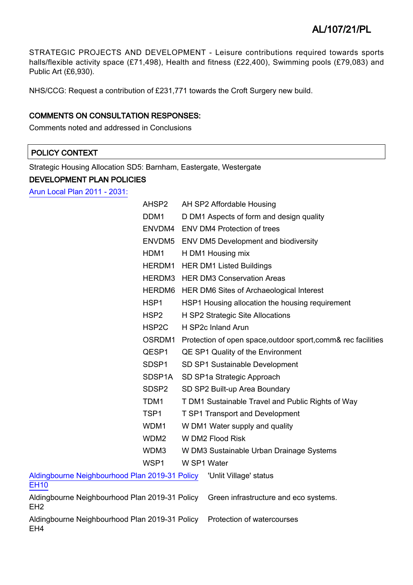STRATEGIC PROJECTS AND DEVELOPMENT - Leisure contributions required towards sports halls/flexible activity space (£71,498), Health and fitness (£22,400), Swimming pools (£79,083) and Public Art (£6,930).

NHS/CCG: Request a contribution of £231,771 towards the Croft Surgery new build.

### COMMENTS ON CONSULTATION RESPONSES:

Comments noted and addressed in Conclusions

### POLICY CONTEXT

Strategic Housing Allocation SD5: Barnham, Eastergate, Westergate

### DEVELOPMENT PLAN POLICIES

[Arun Local Plan 2011 - 2031:](https://www.arun.gov.uk/adopted-local-plan)

|                                                                   | AHSP2              |                    | AH SP2 Affordable Housing                                     |
|-------------------------------------------------------------------|--------------------|--------------------|---------------------------------------------------------------|
| DDM <sub>1</sub>                                                  |                    |                    | D DM1 Aspects of form and design quality                      |
|                                                                   |                    |                    | ENVDM4 ENV DM4 Protection of trees                            |
|                                                                   | ENVDM5             |                    | <b>ENV DM5 Development and biodiversity</b>                   |
| HDM1                                                              |                    | H DM1 Housing mix  |                                                               |
|                                                                   | HERDM1             |                    | <b>HER DM1 Listed Buildings</b>                               |
|                                                                   |                    |                    | <b>HERDM3</b> HER DM3 Conservation Areas                      |
|                                                                   | HERDM6             |                    | HER DM6 Sites of Archaeological Interest                      |
| HSP1                                                              |                    |                    | HSP1 Housing allocation the housing requirement               |
| HSP <sub>2</sub>                                                  |                    |                    | H SP2 Strategic Site Allocations                              |
|                                                                   | HSP <sub>2</sub> C | H SP2c Inland Arun |                                                               |
|                                                                   | OSRDM1             |                    | Protection of open space, outdoor sport, comm& rec facilities |
|                                                                   | QESP1              |                    | QE SP1 Quality of the Environment                             |
|                                                                   | SDSP1              |                    | SD SP1 Sustainable Development                                |
|                                                                   | SDSP1A             |                    | SD SP1a Strategic Approach                                    |
|                                                                   | SDSP <sub>2</sub>  |                    | SD SP2 Built-up Area Boundary                                 |
| TDM1                                                              |                    |                    | T DM1 Sustainable Travel and Public Rights of Way             |
| TSP1                                                              |                    |                    | <b>T SP1 Transport and Development</b>                        |
| WDM1                                                              |                    |                    | W DM1 Water supply and quality                                |
|                                                                   | WDM <sub>2</sub>   | W DM2 Flood Risk   |                                                               |
|                                                                   | WDM3               |                    | W DM3 Sustainable Urban Drainage Systems                      |
| WSP1                                                              |                    | W SP1 Water        |                                                               |
| Aldingbourne Neighbourhood Plan 2019-31 Policy<br><b>EH10</b>     |                    |                    | 'Unlit Village' status                                        |
| Aldingbourne Neighbourhood Plan 2019-31 Policy<br>EH <sub>2</sub> |                    |                    | Green infrastructure and eco systems.                         |
| Aldingbourne Neighbourhood Plan 2019-31 Policy<br>EH <sub>4</sub> |                    |                    | Protection of watercourses                                    |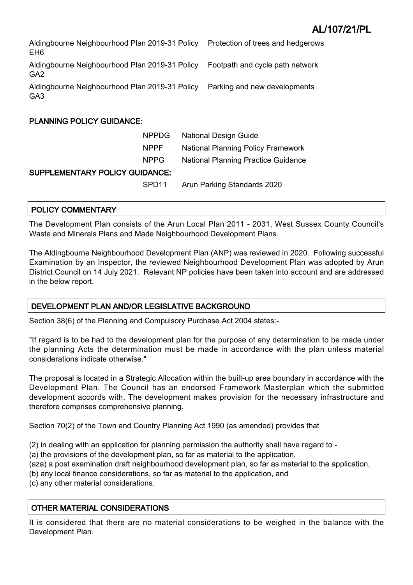| Aldingbourne Neighbourhood Plan 2019-31 Policy<br>EH <sub>6</sub> | Protection of trees and hedgerows |
|-------------------------------------------------------------------|-----------------------------------|
| Aldingbourne Neighbourhood Plan 2019-31 Policy<br>GA <sub>2</sub> | Footpath and cycle path network   |
| Aldingbourne Neighbourhood Plan 2019-31 Policy<br>GA <sub>3</sub> | Parking and new developments      |

### PLANNING POLICY GUIDANCE:

|                                       | NPPDG             | <b>National Design Guide</b>               |  |
|---------------------------------------|-------------------|--------------------------------------------|--|
|                                       | <b>NPPF</b>       | <b>National Planning Policy Framework</b>  |  |
|                                       | NPPG.             | <b>National Planning Practice Guidance</b> |  |
| <b>SUPPLEMENTARY POLICY GUIDANCE:</b> |                   |                                            |  |
|                                       | SPD <sub>11</sub> | Arun Parking Standards 2020                |  |

### POLICY COMMENTARY

The Development Plan consists of the Arun Local Plan 2011 - 2031, West Sussex County Council's Waste and Minerals Plans and Made Neighbourhood Development Plans.

The Aldingbourne Neighbourhood Development Plan (ANP) was reviewed in 2020. Following successful Examination by an Inspector, the reviewed Neighbourhood Development Plan was adopted by Arun District Council on 14 July 2021. Relevant NP policies have been taken into account and are addressed in the below report.

### DEVELOPMENT PLAN AND/OR LEGISLATIVE BACKGROUND

Section 38(6) of the Planning and Compulsory Purchase Act 2004 states:-

"If regard is to be had to the development plan for the purpose of any determination to be made under the planning Acts the determination must be made in accordance with the plan unless material considerations indicate otherwise."

The proposal is located in a Strategic Allocation within the built-up area boundary in accordance with the Development Plan. The Council has an endorsed Framework Masterplan which the submitted development accords with. The development makes provision for the necessary infrastructure and therefore comprises comprehensive planning.

Section 70(2) of the Town and Country Planning Act 1990 (as amended) provides that

(2) in dealing with an application for planning permission the authority shall have regard to -

(a) the provisions of the development plan, so far as material to the application,

(aza) a post examination draft neighbourhood development plan, so far as material to the application,

- (b) any local finance considerations, so far as material to the application, and
- (c) any other material considerations.

### OTHER MATERIAL CONSIDERATIONS

It is considered that there are no material considerations to be weighed in the balance with the Development Plan.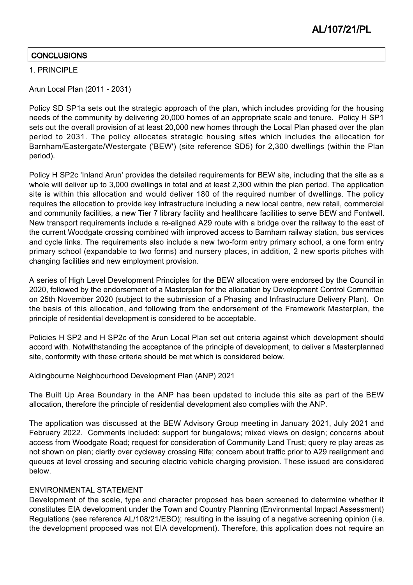### **CONCLUSIONS**

### 1. PRINCIPLE

Arun Local Plan (2011 - 2031)

Policy SD SP1a sets out the strategic approach of the plan, which includes providing for the housing needs of the community by delivering 20,000 homes of an appropriate scale and tenure. Policy H SP1 sets out the overall provision of at least 20,000 new homes through the Local Plan phased over the plan period to 2031. The policy allocates strategic housing sites which includes the allocation for Barnham/Eastergate/Westergate ('BEW') (site reference SD5) for 2,300 dwellings (within the Plan period).

Policy H SP2c 'Inland Arun' provides the detailed requirements for BEW site, including that the site as a whole will deliver up to 3,000 dwellings in total and at least 2,300 within the plan period. The application site is within this allocation and would deliver 180 of the required number of dwellings. The policy requires the allocation to provide key infrastructure including a new local centre, new retail, commercial and community facilities, a new Tier 7 library facility and healthcare facilities to serve BEW and Fontwell. New transport requirements include a re-aligned A29 route with a bridge over the railway to the east of the current Woodgate crossing combined with improved access to Barnham railway station, bus services and cycle links. The requirements also include a new two-form entry primary school, a one form entry primary school (expandable to two forms) and nursery places, in addition, 2 new sports pitches with changing facilities and new employment provision.

A series of High Level Development Principles for the BEW allocation were endorsed by the Council in 2020, followed by the endorsement of a Masterplan for the allocation by Development Control Committee on 25th November 2020 (subject to the submission of a Phasing and Infrastructure Delivery Plan). On the basis of this allocation, and following from the endorsement of the Framework Masterplan, the principle of residential development is considered to be acceptable.

Policies H SP2 and H SP2c of the Arun Local Plan set out criteria against which development should accord with. Notwithstanding the acceptance of the principle of development, to deliver a Masterplanned site, conformity with these criteria should be met which is considered below.

Aldingbourne Neighbourhood Development Plan (ANP) 2021

The Built Up Area Boundary in the ANP has been updated to include this site as part of the BEW allocation, therefore the principle of residential development also complies with the ANP.

The application was discussed at the BEW Advisory Group meeting in January 2021, July 2021 and February 2022. Comments included: support for bungalows; mixed views on design; concerns about access from Woodgate Road; request for consideration of Community Land Trust; query re play areas as not shown on plan; clarity over cycleway crossing Rife; concern about traffic prior to A29 realignment and queues at level crossing and securing electric vehicle charging provision. These issued are considered below.

### ENVIRONMENTAL STATEMENT

Development of the scale, type and character proposed has been screened to determine whether it constitutes EIA development under the Town and Country Planning (Environmental Impact Assessment) Regulations (see reference AL/108/21/ESO); resulting in the issuing of a negative screening opinion (i.e. the development proposed was not EIA development). Therefore, this application does not require an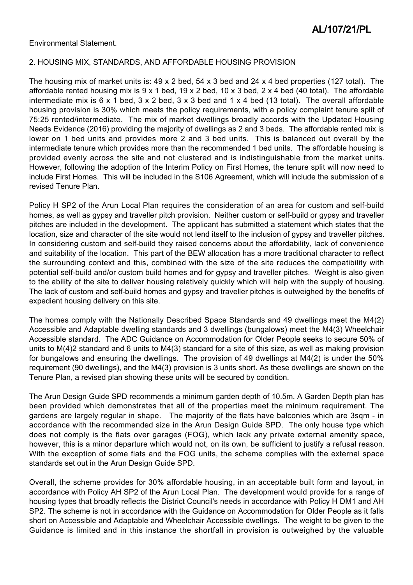Environmental Statement.

### 2. HOUSING MIX, STANDARDS, AND AFFORDABLE HOUSING PROVISION

The housing mix of market units is: 49 x 2 bed, 54 x 3 bed and 24 x 4 bed properties (127 total). The affordable rented housing mix is 9 x 1 bed, 19 x 2 bed, 10 x 3 bed, 2 x 4 bed (40 total). The affordable intermediate mix is  $6 \times 1$  bed,  $3 \times 2$  bed,  $3 \times 3$  bed and  $1 \times 4$  bed (13 total). The overall affordable housing provision is 30% which meets the policy requirements, with a policy complaint tenure split of 75:25 rented/intermediate. The mix of market dwellings broadly accords with the Updated Housing Needs Evidence (2016) providing the majority of dwellings as 2 and 3 beds. The affordable rented mix is lower on 1 bed units and provides more 2 and 3 bed units. This is balanced out overall by the intermediate tenure which provides more than the recommended 1 bed units. The affordable housing is provided evenly across the site and not clustered and is indistinguishable from the market units. However, following the adoption of the Interim Policy on First Homes, the tenure split will now need to include First Homes. This will be included in the S106 Agreement, which will include the submission of a revised Tenure Plan.

Policy H SP2 of the Arun Local Plan requires the consideration of an area for custom and self-build homes, as well as gypsy and traveller pitch provision. Neither custom or self-build or gypsy and traveller pitches are included in the development. The applicant has submitted a statement which states that the location, size and character of the site would not lend itself to the inclusion of gypsy and traveller pitches. In considering custom and self-build they raised concerns about the affordability, lack of convenience and suitability of the location. This part of the BEW allocation has a more traditional character to reflect the surrounding context and this, combined with the size of the site reduces the compatibility with potential self-build and/or custom build homes and for gypsy and traveller pitches. Weight is also given to the ability of the site to deliver housing relatively quickly which will help with the supply of housing. The lack of custom and self-build homes and gypsy and traveller pitches is outweighed by the benefits of expedient housing delivery on this site.

The homes comply with the Nationally Described Space Standards and 49 dwellings meet the M4(2) Accessible and Adaptable dwelling standards and 3 dwellings (bungalows) meet the M4(3) Wheelchair Accessible standard. The ADC Guidance on Accommodation for Older People seeks to secure 50% of units to M(4)2 standard and 6 units to M4(3) standard for a site of this size, as well as making provision for bungalows and ensuring the dwellings. The provision of 49 dwellings at M4(2) is under the 50% requirement (90 dwellings), and the M4(3) provision is 3 units short. As these dwellings are shown on the Tenure Plan, a revised plan showing these units will be secured by condition.

The Arun Design Guide SPD recommends a minimum garden depth of 10.5m. A Garden Depth plan has been provided which demonstrates that all of the properties meet the minimum requirement. The gardens are largely regular in shape. The majority of the flats have balconies which are 3sqm - in accordance with the recommended size in the Arun Design Guide SPD. The only house type which does not comply is the flats over garages (FOG), which lack any private external amenity space, however, this is a minor departure which would not, on its own, be sufficient to justify a refusal reason. With the exception of some flats and the FOG units, the scheme complies with the external space standards set out in the Arun Design Guide SPD.

Overall, the scheme provides for 30% affordable housing, in an acceptable built form and layout, in accordance with Policy AH SP2 of the Arun Local Plan. The development would provide for a range of housing types that broadly reflects the District Council's needs in accordance with Policy H DM1 and AH SP2. The scheme is not in accordance with the Guidance on Accommodation for Older People as it falls short on Accessible and Adaptable and Wheelchair Accessible dwellings. The weight to be given to the Guidance is limited and in this instance the shortfall in provision is outweighed by the valuable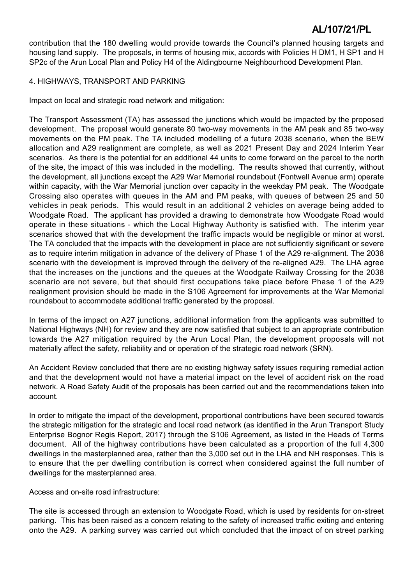contribution that the 180 dwelling would provide towards the Council's planned housing targets and housing land supply. The proposals, in terms of housing mix, accords with Policies H DM1, H SP1 and H SP2c of the Arun Local Plan and Policy H4 of the Aldingbourne Neighbourhood Development Plan.

### 4. HIGHWAYS, TRANSPORT AND PARKING

Impact on local and strategic road network and mitigation:

The Transport Assessment (TA) has assessed the junctions which would be impacted by the proposed development. The proposal would generate 80 two-way movements in the AM peak and 85 two-way movements on the PM peak. The TA included modelling of a future 2038 scenario, when the BEW allocation and A29 realignment are complete, as well as 2021 Present Day and 2024 Interim Year scenarios. As there is the potential for an additional 44 units to come forward on the parcel to the north of the site, the impact of this was included in the modelling. The results showed that currently, without the development, all junctions except the A29 War Memorial roundabout (Fontwell Avenue arm) operate within capacity, with the War Memorial junction over capacity in the weekday PM peak. The Woodgate Crossing also operates with queues in the AM and PM peaks, with queues of between 25 and 50 vehicles in peak periods. This would result in an additional 2 vehicles on average being added to Woodgate Road. The applicant has provided a drawing to demonstrate how Woodgate Road would operate in these situations - which the Local Highway Authority is satisfied with. The interim year scenarios showed that with the development the traffic impacts would be negligible or minor at worst. The TA concluded that the impacts with the development in place are not sufficiently significant or severe as to require interim mitigation in advance of the delivery of Phase 1 of the A29 re-alignment. The 2038 scenario with the development is improved through the delivery of the re-aligned A29. The LHA agree that the increases on the junctions and the queues at the Woodgate Railway Crossing for the 2038 scenario are not severe, but that should first occupations take place before Phase 1 of the A29 realignment provision should be made in the S106 Agreement for improvements at the War Memorial roundabout to accommodate additional traffic generated by the proposal.

In terms of the impact on A27 junctions, additional information from the applicants was submitted to National Highways (NH) for review and they are now satisfied that subject to an appropriate contribution towards the A27 mitigation required by the Arun Local Plan, the development proposals will not materially affect the safety, reliability and or operation of the strategic road network (SRN).

An Accident Review concluded that there are no existing highway safety issues requiring remedial action and that the development would not have a material impact on the level of accident risk on the road network. A Road Safety Audit of the proposals has been carried out and the recommendations taken into account.

In order to mitigate the impact of the development, proportional contributions have been secured towards the strategic mitigation for the strategic and local road network (as identified in the Arun Transport Study Enterprise Bognor Regis Report, 2017) through the S106 Agreement, as listed in the Heads of Terms document. All of the highway contributions have been calculated as a proportion of the full 4,300 dwellings in the masterplanned area, rather than the 3,000 set out in the LHA and NH responses. This is to ensure that the per dwelling contribution is correct when considered against the full number of dwellings for the masterplanned area.

Access and on-site road infrastructure:

The site is accessed through an extension to Woodgate Road, which is used by residents for on-street parking. This has been raised as a concern relating to the safety of increased traffic exiting and entering onto the A29. A parking survey was carried out which concluded that the impact of on street parking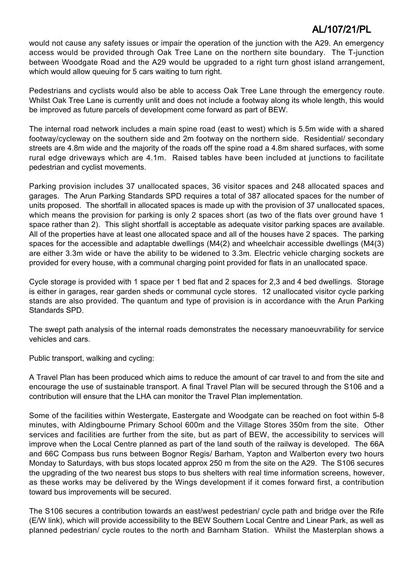would not cause any safety issues or impair the operation of the junction with the A29. An emergency access would be provided through Oak Tree Lane on the northern site boundary. The T-junction between Woodgate Road and the A29 would be upgraded to a right turn ghost island arrangement, which would allow queuing for 5 cars waiting to turn right.

Pedestrians and cyclists would also be able to access Oak Tree Lane through the emergency route. Whilst Oak Tree Lane is currently unlit and does not include a footway along its whole length, this would be improved as future parcels of development come forward as part of BEW.

The internal road network includes a main spine road (east to west) which is 5.5m wide with a shared footway/cycleway on the southern side and 2m footway on the northern side. Residential/ secondary streets are 4.8m wide and the majority of the roads off the spine road a 4.8m shared surfaces, with some rural edge driveways which are 4.1m. Raised tables have been included at junctions to facilitate pedestrian and cyclist movements.

Parking provision includes 37 unallocated spaces, 36 visitor spaces and 248 allocated spaces and garages. The Arun Parking Standards SPD requires a total of 387 allocated spaces for the number of units proposed. The shortfall in allocated spaces is made up with the provision of 37 unallocated spaces, which means the provision for parking is only 2 spaces short (as two of the flats over ground have 1 space rather than 2). This slight shortfall is acceptable as adequate visitor parking spaces are available. All of the properties have at least one allocated space and all of the houses have 2 spaces. The parking spaces for the accessible and adaptable dwellings (M4(2) and wheelchair accessible dwellings (M4(3) are either 3.3m wide or have the ability to be widened to 3.3m. Electric vehicle charging sockets are provided for every house, with a communal charging point provided for flats in an unallocated space.

Cycle storage is provided with 1 space per 1 bed flat and 2 spaces for 2,3 and 4 bed dwellings. Storage is either in garages, rear garden sheds or communal cycle stores. 12 unallocated visitor cycle parking stands are also provided. The quantum and type of provision is in accordance with the Arun Parking Standards SPD.

The swept path analysis of the internal roads demonstrates the necessary manoeuvrability for service vehicles and cars.

Public transport, walking and cycling:

A Travel Plan has been produced which aims to reduce the amount of car travel to and from the site and encourage the use of sustainable transport. A final Travel Plan will be secured through the S106 and a contribution will ensure that the LHA can monitor the Travel Plan implementation.

Some of the facilities within Westergate, Eastergate and Woodgate can be reached on foot within 5-8 minutes, with Aldingbourne Primary School 600m and the Village Stores 350m from the site. Other services and facilities are further from the site, but as part of BEW, the accessibility to services will improve when the Local Centre planned as part of the land south of the railway is developed. The 66A and 66C Compass bus runs between Bognor Regis/ Barham, Yapton and Walberton every two hours Monday to Saturdays, with bus stops located approx 250 m from the site on the A29. The S106 secures the upgrading of the two nearest bus stops to bus shelters with real time information screens, however, as these works may be delivered by the Wings development if it comes forward first, a contribution toward bus improvements will be secured.

The S106 secures a contribution towards an east/west pedestrian/ cycle path and bridge over the Rife (E/W link), which will provide accessibility to the BEW Southern Local Centre and Linear Park, as well as planned pedestrian/ cycle routes to the north and Barnham Station. Whilst the Masterplan shows a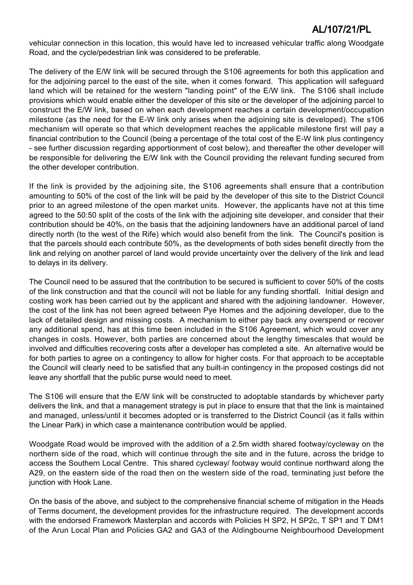vehicular connection in this location, this would have led to increased vehicular traffic along Woodgate Road, and the cycle/pedestrian link was considered to be preferable.

The delivery of the E/W link will be secured through the S106 agreements for both this application and for the adjoining parcel to the east of the site, when it comes forward. This application will safeguard land which will be retained for the western "landing point" of the E/W link. The S106 shall include provisions which would enable either the developer of this site or the developer of the adjoining parcel to construct the E/W link, based on when each development reaches a certain development/occupation milestone (as the need for the E-W link only arises when the adjoining site is developed). The s106 mechanism will operate so that which development reaches the applicable milestone first will pay a financial contribution to the Council (being a percentage of the total cost of the E-W link plus contingency - see further discussion regarding apportionment of cost below), and thereafter the other developer will be responsible for delivering the E/W link with the Council providing the relevant funding secured from the other developer contribution.

If the link is provided by the adjoining site, the S106 agreements shall ensure that a contribution amounting to 50% of the cost of the link will be paid by the developer of this site to the District Council prior to an agreed milestone of the open market units. However, the applicants have not at this time agreed to the 50:50 split of the costs of the link with the adjoining site developer, and consider that their contribution should be 40%, on the basis that the adjoining landowners have an additional parcel of land directly north (to the west of the Rife) which would also benefit from the link. The Council's position is that the parcels should each contribute 50%, as the developments of both sides benefit directly from the link and relying on another parcel of land would provide uncertainty over the delivery of the link and lead to delays in its delivery.

The Council need to be assured that the contribution to be secured is sufficient to cover 50% of the costs of the link construction and that the council will not be liable for any funding shortfall. Initial design and costing work has been carried out by the applicant and shared with the adjoining landowner. However, the cost of the link has not been agreed between Pye Homes and the adjoining developer, due to the lack of detailed design and missing costs. A mechanism to either pay back any overspend or recover any additional spend, has at this time been included in the S106 Agreement, which would cover any changes in costs. However, both parties are concerned about the lengthy timescales that would be involved and difficulties recovering costs after a developer has completed a site. An alternative would be for both parties to agree on a contingency to allow for higher costs. For that approach to be acceptable the Council will clearly need to be satisfied that any built-in contingency in the proposed costings did not leave any shortfall that the public purse would need to meet.

The S106 will ensure that the E/W link will be constructed to adoptable standards by whichever party delivers the link, and that a management strategy is put in place to ensure that that the link is maintained and managed, unless/until it becomes adopted or is transferred to the District Council (as it falls within the Linear Park) in which case a maintenance contribution would be applied.

Woodgate Road would be improved with the addition of a 2.5m width shared footway/cycleway on the northern side of the road, which will continue through the site and in the future, across the bridge to access the Southern Local Centre. This shared cycleway/ footway would continue northward along the A29, on the eastern side of the road then on the western side of the road, terminating just before the junction with Hook Lane.

On the basis of the above, and subject to the comprehensive financial scheme of mitigation in the Heads of Terms document, the development provides for the infrastructure required. The development accords with the endorsed Framework Masterplan and accords with Policies H SP2, H SP2c, T SP1 and T DM1 of the Arun Local Plan and Policies GA2 and GA3 of the Aldingbourne Neighbourhood Development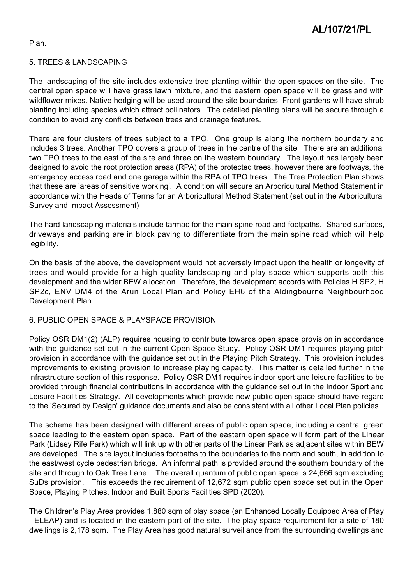Plan.

### 5. TREES & LANDSCAPING

The landscaping of the site includes extensive tree planting within the open spaces on the site. The central open space will have grass lawn mixture, and the eastern open space will be grassland with wildflower mixes. Native hedging will be used around the site boundaries. Front gardens will have shrub planting including species which attract pollinators. The detailed planting plans will be secure through a condition to avoid any conflicts between trees and drainage features.

There are four clusters of trees subject to a TPO. One group is along the northern boundary and includes 3 trees. Another TPO covers a group of trees in the centre of the site. There are an additional two TPO trees to the east of the site and three on the western boundary. The layout has largely been designed to avoid the root protection areas (RPA) of the protected trees, however there are footways, the emergency access road and one garage within the RPA of TPO trees. The Tree Protection Plan shows that these are 'areas of sensitive working'. A condition will secure an Arboricultural Method Statement in accordance with the Heads of Terms for an Arboricultural Method Statement (set out in the Arboricultural Survey and Impact Assessment)

The hard landscaping materials include tarmac for the main spine road and footpaths. Shared surfaces, driveways and parking are in block paving to differentiate from the main spine road which will help legibility.

On the basis of the above, the development would not adversely impact upon the health or longevity of trees and would provide for a high quality landscaping and play space which supports both this development and the wider BEW allocation. Therefore, the development accords with Policies H SP2, H SP2c, ENV DM4 of the Arun Local Plan and Policy EH6 of the Aldingbourne Neighbourhood Development Plan.

### 6. PUBLIC OPEN SPACE & PLAYSPACE PROVISION

Policy OSR DM1(2) (ALP) requires housing to contribute towards open space provision in accordance with the guidance set out in the current Open Space Study. Policy OSR DM1 requires playing pitch provision in accordance with the guidance set out in the Playing Pitch Strategy. This provision includes improvements to existing provision to increase playing capacity. This matter is detailed further in the infrastructure section of this response. Policy OSR DM1 requires indoor sport and leisure facilities to be provided through financial contributions in accordance with the guidance set out in the Indoor Sport and Leisure Facilities Strategy. All developments which provide new public open space should have regard to the 'Secured by Design' guidance documents and also be consistent with all other Local Plan policies.

The scheme has been designed with different areas of public open space, including a central green space leading to the eastern open space. Part of the eastern open space will form part of the Linear Park (Lidsey Rife Park) which will link up with other parts of the Linear Park as adjacent sites within BEW are developed. The site layout includes footpaths to the boundaries to the north and south, in addition to the east/west cycle pedestrian bridge. An informal path is provided around the southern boundary of the site and through to Oak Tree Lane. The overall quantum of public open space is 24,666 sqm excluding SuDs provision. This exceeds the requirement of 12,672 sqm public open space set out in the Open Space, Playing Pitches, Indoor and Built Sports Facilities SPD (2020).

The Children's Play Area provides 1,880 sqm of play space (an Enhanced Locally Equipped Area of Play - ELEAP) and is located in the eastern part of the site. The play space requirement for a site of 180 dwellings is 2,178 sqm. The Play Area has good natural surveillance from the surrounding dwellings and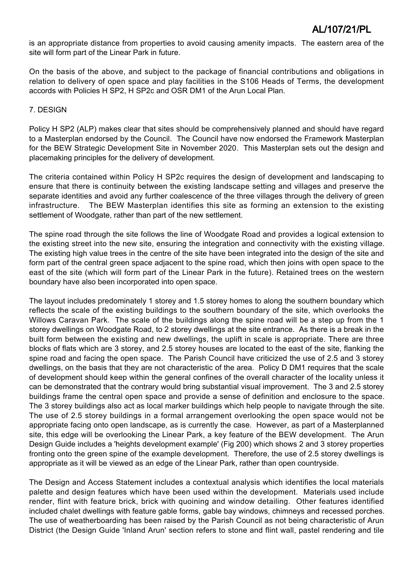is an appropriate distance from properties to avoid causing amenity impacts. The eastern area of the site will form part of the Linear Park in future.

On the basis of the above, and subject to the package of financial contributions and obligations in relation to delivery of open space and play facilities in the S106 Heads of Terms, the development accords with Policies H SP2, H SP2c and OSR DM1 of the Arun Local Plan.

### 7. DESIGN

Policy H SP2 (ALP) makes clear that sites should be comprehensively planned and should have regard to a Masterplan endorsed by the Council. The Council have now endorsed the Framework Masterplan for the BEW Strategic Development Site in November 2020. This Masterplan sets out the design and placemaking principles for the delivery of development.

The criteria contained within Policy H SP2c requires the design of development and landscaping to ensure that there is continuity between the existing landscape setting and villages and preserve the separate identities and avoid any further coalescence of the three villages through the delivery of green infrastructure. The BEW Masterplan identifies this site as forming an extension to the existing settlement of Woodgate, rather than part of the new settlement.

The spine road through the site follows the line of Woodgate Road and provides a logical extension to the existing street into the new site, ensuring the integration and connectivity with the existing village. The existing high value trees in the centre of the site have been integrated into the design of the site and form part of the central green space adjacent to the spine road, which then joins with open space to the east of the site (which will form part of the Linear Park in the future). Retained trees on the western boundary have also been incorporated into open space.

The layout includes predominately 1 storey and 1.5 storey homes to along the southern boundary which reflects the scale of the existing buildings to the southern boundary of the site, which overlooks the Willows Caravan Park. The scale of the buildings along the spine road will be a step up from the 1 storey dwellings on Woodgate Road, to 2 storey dwellings at the site entrance. As there is a break in the built form between the existing and new dwellings, the uplift in scale is appropriate. There are three blocks of flats which are 3 storey, and 2.5 storey houses are located to the east of the site, flanking the spine road and facing the open space. The Parish Council have criticized the use of 2.5 and 3 storey dwellings, on the basis that they are not characteristic of the area. Policy D DM1 requires that the scale of development should keep within the general confines of the overall character of the locality unless it can be demonstrated that the contrary would bring substantial visual improvement. The 3 and 2.5 storey buildings frame the central open space and provide a sense of definition and enclosure to the space. The 3 storey buildings also act as local marker buildings which help people to navigate through the site. The use of 2.5 storey buildings in a formal arrangement overlooking the open space would not be appropriate facing onto open landscape, as is currently the case. However, as part of a Masterplanned site, this edge will be overlooking the Linear Park, a key feature of the BEW development. The Arun Design Guide includes a 'heights development example' (Fig 200) which shows 2 and 3 storey properties fronting onto the green spine of the example development. Therefore, the use of 2.5 storey dwellings is appropriate as it will be viewed as an edge of the Linear Park, rather than open countryside.

The Design and Access Statement includes a contextual analysis which identifies the local materials palette and design features which have been used within the development. Materials used include render, flint with feature brick, brick with quoining and window detailing. Other features identified included chalet dwellings with feature gable forms, gable bay windows, chimneys and recessed porches. The use of weatherboarding has been raised by the Parish Council as not being characteristic of Arun District (the Design Guide 'Inland Arun' section refers to stone and flint wall, pastel rendering and tile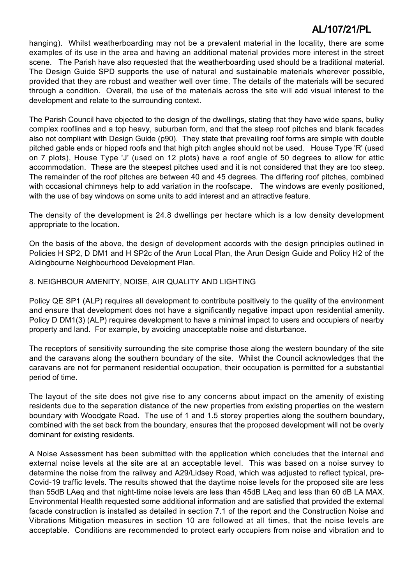hanging). Whilst weatherboarding may not be a prevalent material in the locality, there are some examples of its use in the area and having an additional material provides more interest in the street scene. The Parish have also requested that the weatherboarding used should be a traditional material. The Design Guide SPD supports the use of natural and sustainable materials wherever possible, provided that they are robust and weather well over time. The details of the materials will be secured through a condition. Overall, the use of the materials across the site will add visual interest to the development and relate to the surrounding context.

The Parish Council have objected to the design of the dwellings, stating that they have wide spans, bulky complex rooflines and a top heavy, suburban form, and that the steep roof pitches and blank facades also not compliant with Design Guide (p90). They state that prevailing roof forms are simple with double pitched gable ends or hipped roofs and that high pitch angles should not be used. House Type 'R' (used on 7 plots), House Type 'J' (used on 12 plots) have a roof angle of 50 degrees to allow for attic accommodation. These are the steepest pitches used and it is not considered that they are too steep. The remainder of the roof pitches are between 40 and 45 degrees. The differing roof pitches, combined with occasional chimneys help to add variation in the roofscape. The windows are evenly positioned, with the use of bay windows on some units to add interest and an attractive feature.

The density of the development is 24.8 dwellings per hectare which is a low density development appropriate to the location.

On the basis of the above, the design of development accords with the design principles outlined in Policies H SP2, D DM1 and H SP2c of the Arun Local Plan, the Arun Design Guide and Policy H2 of the Aldingbourne Neighbourhood Development Plan.

### 8. NEIGHBOUR AMENITY, NOISE, AIR QUALITY AND LIGHTING

Policy QE SP1 (ALP) requires all development to contribute positively to the quality of the environment and ensure that development does not have a significantly negative impact upon residential amenity. Policy D DM1(3) (ALP) requires development to have a minimal impact to users and occupiers of nearby property and land. For example, by avoiding unacceptable noise and disturbance.

The receptors of sensitivity surrounding the site comprise those along the western boundary of the site and the caravans along the southern boundary of the site. Whilst the Council acknowledges that the caravans are not for permanent residential occupation, their occupation is permitted for a substantial period of time.

The layout of the site does not give rise to any concerns about impact on the amenity of existing residents due to the separation distance of the new properties from existing properties on the western boundary with Woodgate Road. The use of 1 and 1.5 storey properties along the southern boundary, combined with the set back from the boundary, ensures that the proposed development will not be overly dominant for existing residents.

A Noise Assessment has been submitted with the application which concludes that the internal and external noise levels at the site are at an acceptable level. This was based on a noise survey to determine the noise from the railway and A29/Lidsey Road, which was adjusted to reflect typical, pre-Covid-19 traffic levels. The results showed that the daytime noise levels for the proposed site are less than 55dB LAeq and that night-time noise levels are less than 45dB LAeq and less than 60 dB LA MAX. Environmental Health requested some additional information and are satisfied that provided the external facade construction is installed as detailed in section 7.1 of the report and the Construction Noise and Vibrations Mitigation measures in section 10 are followed at all times, that the noise levels are acceptable. Conditions are recommended to protect early occupiers from noise and vibration and to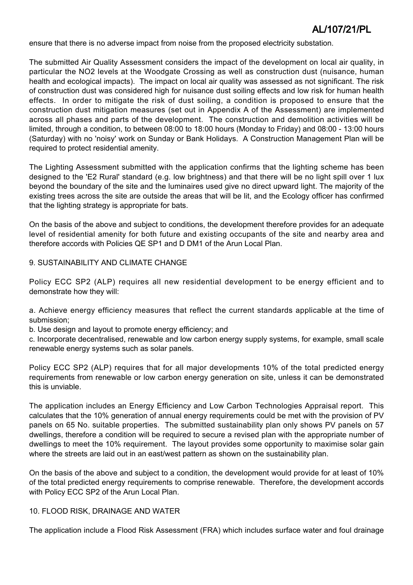ensure that there is no adverse impact from noise from the proposed electricity substation.

The submitted Air Quality Assessment considers the impact of the development on local air quality, in particular the NO2 levels at the Woodgate Crossing as well as construction dust (nuisance, human health and ecological impacts). The impact on local air quality was assessed as not significant. The risk of construction dust was considered high for nuisance dust soiling effects and low risk for human health effects. In order to mitigate the risk of dust soiling, a condition is proposed to ensure that the construction dust mitigation measures (set out in Appendix A of the Assessment) are implemented across all phases and parts of the development. The construction and demolition activities will be limited, through a condition, to between 08:00 to 18:00 hours (Monday to Friday) and 08:00 - 13:00 hours (Saturday) with no 'noisy' work on Sunday or Bank Holidays. A Construction Management Plan will be required to protect residential amenity.

The Lighting Assessment submitted with the application confirms that the lighting scheme has been designed to the 'E2 Rural' standard (e.g. low brightness) and that there will be no light spill over 1 lux beyond the boundary of the site and the luminaires used give no direct upward light. The majority of the existing trees across the site are outside the areas that will be lit, and the Ecology officer has confirmed that the lighting strategy is appropriate for bats.

On the basis of the above and subject to conditions, the development therefore provides for an adequate level of residential amenity for both future and existing occupants of the site and nearby area and therefore accords with Policies QE SP1 and D DM1 of the Arun Local Plan.

9. SUSTAINABILITY AND CLIMATE CHANGE

Policy ECC SP2 (ALP) requires all new residential development to be energy efficient and to demonstrate how they will:

a. Achieve energy efficiency measures that reflect the current standards applicable at the time of submission;

b. Use design and layout to promote energy efficiency; and

c. Incorporate decentralised, renewable and low carbon energy supply systems, for example, small scale renewable energy systems such as solar panels.

Policy ECC SP2 (ALP) requires that for all major developments 10% of the total predicted energy requirements from renewable or low carbon energy generation on site, unless it can be demonstrated this is unviable.

The application includes an Energy Efficiency and Low Carbon Technologies Appraisal report. This calculates that the 10% generation of annual energy requirements could be met with the provision of PV panels on 65 No. suitable properties. The submitted sustainability plan only shows PV panels on 57 dwellings, therefore a condition will be required to secure a revised plan with the appropriate number of dwellings to meet the 10% requirement. The layout provides some opportunity to maximise solar gain where the streets are laid out in an east/west pattern as shown on the sustainability plan.

On the basis of the above and subject to a condition, the development would provide for at least of 10% of the total predicted energy requirements to comprise renewable. Therefore, the development accords with Policy ECC SP2 of the Arun Local Plan.

### 10. FLOOD RISK, DRAINAGE AND WATER

The application include a Flood Risk Assessment (FRA) which includes surface water and foul drainage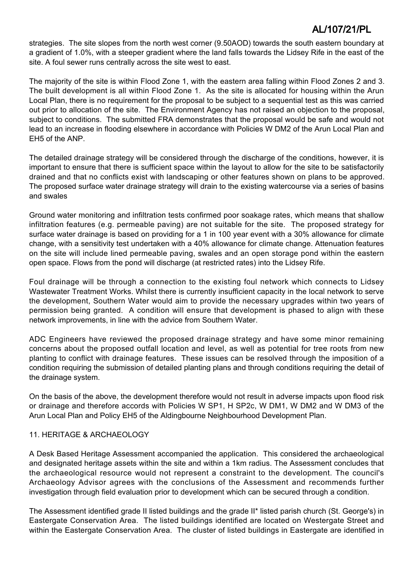strategies. The site slopes from the north west corner (9.50AOD) towards the south eastern boundary at a gradient of 1.0%, with a steeper gradient where the land falls towards the Lidsey Rife in the east of the site. A foul sewer runs centrally across the site west to east.

The majority of the site is within Flood Zone 1, with the eastern area falling within Flood Zones 2 and 3. The built development is all within Flood Zone 1. As the site is allocated for housing within the Arun Local Plan, there is no requirement for the proposal to be subject to a sequential test as this was carried out prior to allocation of the site. The Environment Agency has not raised an objection to the proposal, subject to conditions. The submitted FRA demonstrates that the proposal would be safe and would not lead to an increase in flooding elsewhere in accordance with Policies W DM2 of the Arun Local Plan and EH5 of the ANP.

The detailed drainage strategy will be considered through the discharge of the conditions, however, it is important to ensure that there is sufficient space within the layout to allow for the site to be satisfactorily drained and that no conflicts exist with landscaping or other features shown on plans to be approved. The proposed surface water drainage strategy will drain to the existing watercourse via a series of basins and swales

Ground water monitoring and infiltration tests confirmed poor soakage rates, which means that shallow infiltration features (e.g. permeable paving) are not suitable for the site. The proposed strategy for surface water drainage is based on providing for a 1 in 100 year event with a 30% allowance for climate change, with a sensitivity test undertaken with a 40% allowance for climate change. Attenuation features on the site will include lined permeable paving, swales and an open storage pond within the eastern open space. Flows from the pond will discharge (at restricted rates) into the Lidsey Rife.

Foul drainage will be through a connection to the existing foul network which connects to Lidsey Wastewater Treatment Works. Whilst there is currently insufficient capacity in the local network to serve the development, Southern Water would aim to provide the necessary upgrades within two years of permission being granted. A condition will ensure that development is phased to align with these network improvements, in line with the advice from Southern Water.

ADC Engineers have reviewed the proposed drainage strategy and have some minor remaining concerns about the proposed outfall location and level, as well as potential for tree roots from new planting to conflict with drainage features. These issues can be resolved through the imposition of a condition requiring the submission of detailed planting plans and through conditions requiring the detail of the drainage system.

On the basis of the above, the development therefore would not result in adverse impacts upon flood risk or drainage and therefore accords with Policies W SP1, H SP2c, W DM1, W DM2 and W DM3 of the Arun Local Plan and Policy EH5 of the Aldingbourne Neighbourhood Development Plan.

### 11. HERITAGE & ARCHAEOLOGY

A Desk Based Heritage Assessment accompanied the application. This considered the archaeological and designated heritage assets within the site and within a 1km radius. The Assessment concludes that the archaeological resource would not represent a constraint to the development. The council's Archaeology Advisor agrees with the conclusions of the Assessment and recommends further investigation through field evaluation prior to development which can be secured through a condition.

The Assessment identified grade II listed buildings and the grade II\* listed parish church (St. George's) in Eastergate Conservation Area. The listed buildings identified are located on Westergate Street and within the Eastergate Conservation Area. The cluster of listed buildings in Eastergate are identified in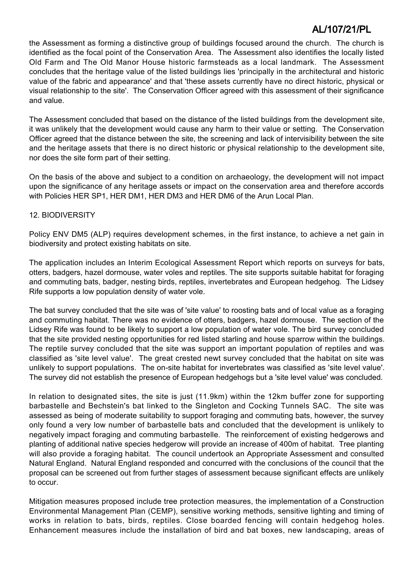the Assessment as forming a distinctive group of buildings focused around the church. The church is identified as the focal point of the Conservation Area. The Assessment also identifies the locally listed Old Farm and The Old Manor House historic farmsteads as a local landmark. The Assessment concludes that the heritage value of the listed buildings lies 'principally in the architectural and historic value of the fabric and appearance' and that 'these assets currently have no direct historic, physical or visual relationship to the site'. The Conservation Officer agreed with this assessment of their significance and value.

The Assessment concluded that based on the distance of the listed buildings from the development site, it was unlikely that the development would cause any harm to their value or setting. The Conservation Officer agreed that the distance between the site, the screening and lack of intervisibility between the site and the heritage assets that there is no direct historic or physical relationship to the development site, nor does the site form part of their setting.

On the basis of the above and subject to a condition on archaeology, the development will not impact upon the significance of any heritage assets or impact on the conservation area and therefore accords with Policies HER SP1, HER DM1, HER DM3 and HER DM6 of the Arun Local Plan.

### 12. BIODIVERSITY

Policy ENV DM5 (ALP) requires development schemes, in the first instance, to achieve a net gain in biodiversity and protect existing habitats on site.

The application includes an Interim Ecological Assessment Report which reports on surveys for bats, otters, badgers, hazel dormouse, water voles and reptiles. The site supports suitable habitat for foraging and commuting bats, badger, nesting birds, reptiles, invertebrates and European hedgehog. The Lidsey Rife supports a low population density of water vole.

The bat survey concluded that the site was of 'site value' to roosting bats and of local value as a foraging and commuting habitat. There was no evidence of otters, badgers, hazel dormouse. The section of the Lidsey Rife was found to be likely to support a low population of water vole. The bird survey concluded that the site provided nesting opportunities for red listed starling and house sparrow within the buildings. The reptile survey concluded that the site was support an important population of reptiles and was classified as 'site level value'. The great crested newt survey concluded that the habitat on site was unlikely to support populations. The on-site habitat for invertebrates was classified as 'site level value'. The survey did not establish the presence of European hedgehogs but a 'site level value' was concluded.

In relation to designated sites, the site is just (11.9km) within the 12km buffer zone for supporting barbastelle and Bechstein's bat linked to the Singleton and Cocking Tunnels SAC. The site was assessed as being of moderate suitability to support foraging and commuting bats, however, the survey only found a very low number of barbastelle bats and concluded that the development is unlikely to negatively impact foraging and commuting barbastelle. The reinforcement of existing hedgerows and planting of additional native species hedgerow will provide an increase of 400m of habitat. Tree planting will also provide a foraging habitat. The council undertook an Appropriate Assessment and consulted Natural England. Natural England responded and concurred with the conclusions of the council that the proposal can be screened out from further stages of assessment because significant effects are unlikely to occur.

Mitigation measures proposed include tree protection measures, the implementation of a Construction Environmental Management Plan (CEMP), sensitive working methods, sensitive lighting and timing of works in relation to bats, birds, reptiles. Close boarded fencing will contain hedgehog holes. Enhancement measures include the installation of bird and bat boxes, new landscaping, areas of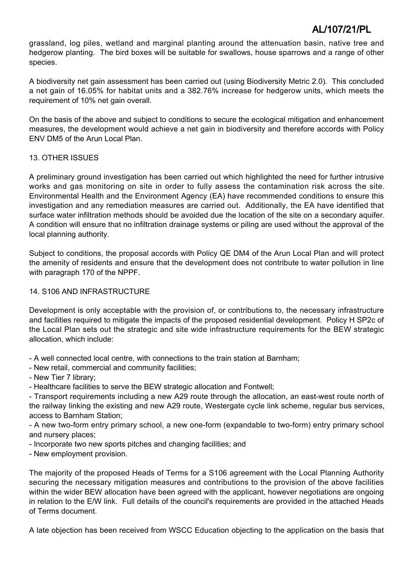grassland, log piles, wetland and marginal planting around the attenuation basin, native tree and hedgerow planting. The bird boxes will be suitable for swallows, house sparrows and a range of other species.

A biodiversity net gain assessment has been carried out (using Biodiversity Metric 2.0). This concluded a net gain of 16.05% for habitat units and a 382.76% increase for hedgerow units, which meets the requirement of 10% net gain overall.

On the basis of the above and subject to conditions to secure the ecological mitigation and enhancement measures, the development would achieve a net gain in biodiversity and therefore accords with Policy ENV DM5 of the Arun Local Plan.

### 13. OTHER ISSUES

A preliminary ground investigation has been carried out which highlighted the need for further intrusive works and gas monitoring on site in order to fully assess the contamination risk across the site. Environmental Health and the Environment Agency (EA) have recommended conditions to ensure this investigation and any remediation measures are carried out. Additionally, the EA have identified that surface water infiltration methods should be avoided due the location of the site on a secondary aquifer. A condition will ensure that no infiltration drainage systems or piling are used without the approval of the local planning authority.

Subject to conditions, the proposal accords with Policy QE DM4 of the Arun Local Plan and will protect the amenity of residents and ensure that the development does not contribute to water pollution in line with paragraph 170 of the NPPF.

### 14. S106 AND INFRASTRUCTURE

Development is only acceptable with the provision of, or contributions to, the necessary infrastructure and facilities required to mitigate the impacts of the proposed residential development. Policy H SP2c of the Local Plan sets out the strategic and site wide infrastructure requirements for the BEW strategic allocation, which include:

- A well connected local centre, with connections to the train station at Barnham;

- New retail, commercial and community facilities;
- New Tier 7 library;
- Healthcare facilities to serve the BEW strategic allocation and Fontwell;

- Transport requirements including a new A29 route through the allocation, an east-west route north of the railway linking the existing and new A29 route, Westergate cycle link scheme, regular bus services, access to Barnham Station;

- A new two-form entry primary school, a new one-form (expandable to two-form) entry primary school and nursery places;

- Incorporate two new sports pitches and changing facilities; and
- New employment provision.

The majority of the proposed Heads of Terms for a S106 agreement with the Local Planning Authority securing the necessary mitigation measures and contributions to the provision of the above facilities within the wider BEW allocation have been agreed with the applicant, however negotiations are ongoing in relation to the E/W link. Full details of the council's requirements are provided in the attached Heads of Terms document.

A late objection has been received from WSCC Education objecting to the application on the basis that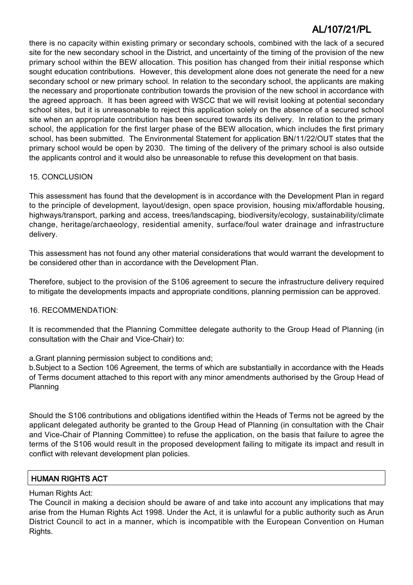there is no capacity within existing primary or secondary schools, combined with the lack of a secured site for the new secondary school in the District, and uncertainty of the timing of the provision of the new primary school within the BEW allocation. This position has changed from their initial response which sought education contributions. However, this development alone does not generate the need for a new secondary school or new primary school. In relation to the secondary school, the applicants are making the necessary and proportionate contribution towards the provision of the new school in accordance with the agreed approach. It has been agreed with WSCC that we will revisit looking at potential secondary school sites, but it is unreasonable to reject this application solely on the absence of a secured school site when an appropriate contribution has been secured towards its delivery. In relation to the primary school, the application for the first larger phase of the BEW allocation, which includes the first primary school, has been submitted. The Environmental Statement for application BN/11/22/OUT states that the primary school would be open by 2030. The timing of the delivery of the primary school is also outside the applicants control and it would also be unreasonable to refuse this development on that basis.

### 15. CONCLUSION

This assessment has found that the development is in accordance with the Development Plan in regard to the principle of development, layout/design, open space provision, housing mix/affordable housing, highways/transport, parking and access, trees/landscaping, biodiversity/ecology, sustainability/climate change, heritage/archaeology, residential amenity, surface/foul water drainage and infrastructure delivery.

This assessment has not found any other material considerations that would warrant the development to be considered other than in accordance with the Development Plan.

Therefore, subject to the provision of the S106 agreement to secure the infrastructure delivery required to mitigate the developments impacts and appropriate conditions, planning permission can be approved.

### 16. RECOMMENDATION:

It is recommended that the Planning Committee delegate authority to the Group Head of Planning (in consultation with the Chair and Vice-Chair) to:

a.Grant planning permission subject to conditions and;

b.Subject to a Section 106 Agreement, the terms of which are substantially in accordance with the Heads of Terms document attached to this report with any minor amendments authorised by the Group Head of Planning

Should the S106 contributions and obligations identified within the Heads of Terms not be agreed by the applicant delegated authority be granted to the Group Head of Planning (in consultation with the Chair and Vice-Chair of Planning Committee) to refuse the application, on the basis that failure to agree the terms of the S106 would result in the proposed development failing to mitigate its impact and result in conflict with relevant development plan policies.

### HUMAN RIGHTS ACT

### Human Rights Act:

The Council in making a decision should be aware of and take into account any implications that may arise from the Human Rights Act 1998. Under the Act, it is unlawful for a public authority such as Arun District Council to act in a manner, which is incompatible with the European Convention on Human Rights.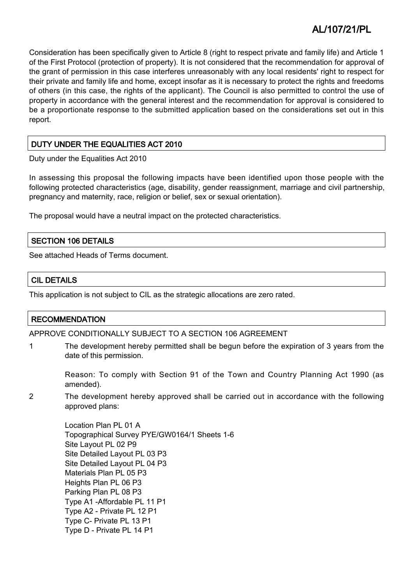Consideration has been specifically given to Article 8 (right to respect private and family life) and Article 1 of the First Protocol (protection of property). It is not considered that the recommendation for approval of the grant of permission in this case interferes unreasonably with any local residents' right to respect for their private and family life and home, except insofar as it is necessary to protect the rights and freedoms of others (in this case, the rights of the applicant). The Council is also permitted to control the use of property in accordance with the general interest and the recommendation for approval is considered to be a proportionate response to the submitted application based on the considerations set out in this report.

### DUTY UNDER THE EQUALITIES ACT 2010

Duty under the Equalities Act 2010

In assessing this proposal the following impacts have been identified upon those people with the following protected characteristics (age, disability, gender reassignment, marriage and civil partnership, pregnancy and maternity, race, religion or belief, sex or sexual orientation).

The proposal would have a neutral impact on the protected characteristics.

### SECTION 106 DETAILS

See attached Heads of Terms document.

### CIL DETAILS

This application is not subject to CIL as the strategic allocations are zero rated.

### **RECOMMENDATION**

### APPROVE CONDITIONALLY SUBJECT TO A SECTION 106 AGREEMENT

1 The development hereby permitted shall be begun before the expiration of 3 years from the date of this permission.

Reason: To comply with Section 91 of the Town and Country Planning Act 1990 (as amended).

2 The development hereby approved shall be carried out in accordance with the following approved plans:

> Location Plan PL 01 A Topographical Survey PYE/GW0164/1 Sheets 1-6 Site Layout PL 02 P9 Site Detailed Layout PL 03 P3 Site Detailed Layout PL 04 P3 Materials Plan PL 05 P3 Heights Plan PL 06 P3 Parking Plan PL 08 P3 Type A1 -Affordable PL 11 P1 Type A2 - Private PL 12 P1 Type C- Private PL 13 P1 Type D - Private PL 14 P1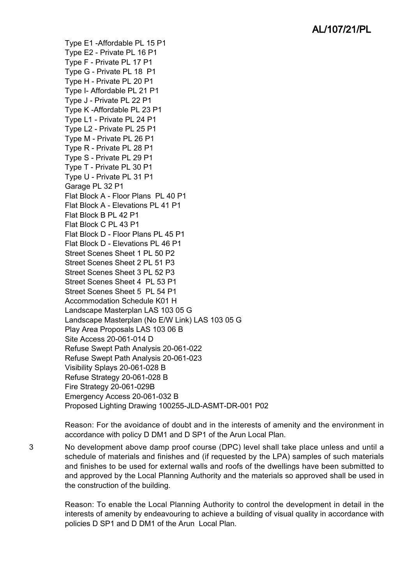Type E1 -Affordable PL 15 P1 Type E2 - Private PL 16 P1 Type F - Private PL 17 P1 Type G - Private PL 18 P1 Type H - Private PL 20 P1 Type I- Affordable PL 21 P1 Type J - Private PL 22 P1 Type K -Affordable PL 23 P1 Type L1 - Private PL 24 P1 Type L2 - Private PL 25 P1 Type M - Private PL 26 P1 Type R - Private PL 28 P1 Type S - Private PL 29 P1 Type T - Private PL 30 P1 Type U - Private PL 31 P1 Garage PL 32 P1 Flat Block A - Floor Plans PL 40 P1 Flat Block A - Elevations PL 41 P1 Flat Block B PL 42 P1 Flat Block C PL 43 P1 Flat Block D - Floor Plans PL 45 P1 Flat Block D - Elevations PL 46 P1 Street Scenes Sheet 1 PL 50 P2 Street Scenes Sheet 2 PL 51 P3 Street Scenes Sheet 3 PL 52 P3 Street Scenes Sheet 4 PL 53 P1 Street Scenes Sheet 5 PL 54 P1 Accommodation Schedule K01 H Landscape Masterplan LAS 103 05 G Landscape Masterplan (No E/W Link) LAS 103 05 G Play Area Proposals LAS 103 06 B Site Access 20-061-014 D Refuse Swept Path Analysis 20-061-022 Refuse Swept Path Analysis 20-061-023 Visibility Splays 20-061-028 B Refuse Strategy 20-061-028 B Fire Strategy 20-061-029B Emergency Access 20-061-032 B Proposed Lighting Drawing 100255-JLD-ASMT-DR-001 P02

Reason: For the avoidance of doubt and in the interests of amenity and the environment in accordance with policy D DM1 and D SP1 of the Arun Local Plan.

3 No development above damp proof course (DPC) level shall take place unless and until a schedule of materials and finishes and (if requested by the LPA) samples of such materials and finishes to be used for external walls and roofs of the dwellings have been submitted to and approved by the Local Planning Authority and the materials so approved shall be used in the construction of the building.

> Reason: To enable the Local Planning Authority to control the development in detail in the interests of amenity by endeavouring to achieve a building of visual quality in accordance with policies D SP1 and D DM1 of the Arun Local Plan.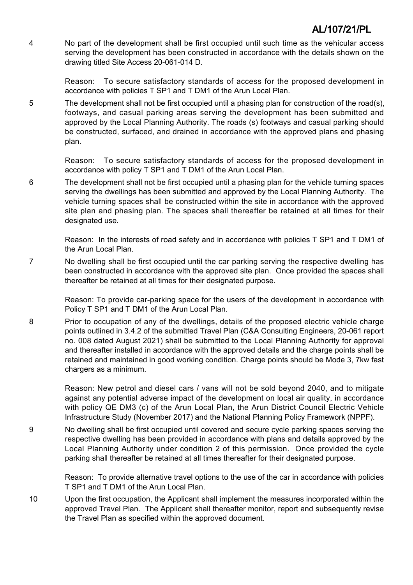4 No part of the development shall be first occupied until such time as the vehicular access serving the development has been constructed in accordance with the details shown on the drawing titled Site Access 20-061-014 D.

> Reason: To secure satisfactory standards of access for the proposed development in accordance with policies T SP1 and T DM1 of the Arun Local Plan.

5 The development shall not be first occupied until a phasing plan for construction of the road(s), footways, and casual parking areas serving the development has been submitted and approved by the Local Planning Authority. The roads (s) footways and casual parking should be constructed, surfaced, and drained in accordance with the approved plans and phasing plan.

> Reason: To secure satisfactory standards of access for the proposed development in accordance with policy T SP1 and T DM1 of the Arun Local Plan.

6 The development shall not be first occupied until a phasing plan for the vehicle turning spaces serving the dwellings has been submitted and approved by the Local Planning Authority. The vehicle turning spaces shall be constructed within the site in accordance with the approved site plan and phasing plan. The spaces shall thereafter be retained at all times for their designated use.

Reason: In the interests of road safety and in accordance with policies T SP1 and T DM1 of the Arun Local Plan.

7 No dwelling shall be first occupied until the car parking serving the respective dwelling has been constructed in accordance with the approved site plan. Once provided the spaces shall thereafter be retained at all times for their designated purpose.

> Reason: To provide car-parking space for the users of the development in accordance with Policy T SP1 and T DM1 of the Arun Local Plan.

8 Prior to occupation of any of the dwellings, details of the proposed electric vehicle charge points outlined in 3.4.2 of the submitted Travel Plan (C&A Consulting Engineers, 20-061 report no. 008 dated August 2021) shall be submitted to the Local Planning Authority for approval and thereafter installed in accordance with the approved details and the charge points shall be retained and maintained in good working condition. Charge points should be Mode 3, 7kw fast chargers as a minimum.

> Reason: New petrol and diesel cars / vans will not be sold beyond 2040, and to mitigate against any potential adverse impact of the development on local air quality, in accordance with policy QE DM3 (c) of the Arun Local Plan, the Arun District Council Electric Vehicle Infrastructure Study (November 2017) and the National Planning Policy Framework (NPPF).

9 No dwelling shall be first occupied until covered and secure cycle parking spaces serving the respective dwelling has been provided in accordance with plans and details approved by the Local Planning Authority under condition 2 of this permission. Once provided the cycle parking shall thereafter be retained at all times thereafter for their designated purpose.

> Reason: To provide alternative travel options to the use of the car in accordance with policies T SP1 and T DM1 of the Arun Local Plan.

10 Upon the first occupation, the Applicant shall implement the measures incorporated within the approved Travel Plan. The Applicant shall thereafter monitor, report and subsequently revise the Travel Plan as specified within the approved document.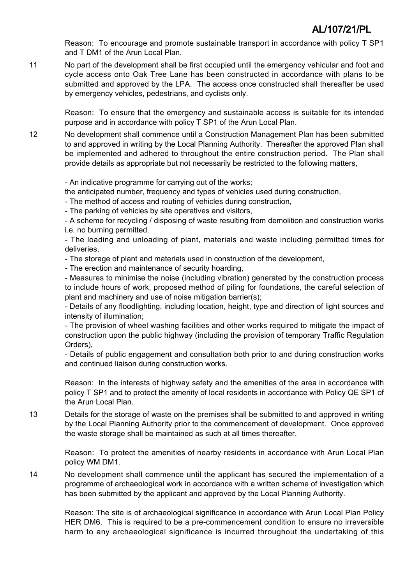Reason: To encourage and promote sustainable transport in accordance with policy T SP1 and T DM1 of the Arun Local Plan.

11 No part of the development shall be first occupied until the emergency vehicular and foot and cycle access onto Oak Tree Lane has been constructed in accordance with plans to be submitted and approved by the LPA. The access once constructed shall thereafter be used by emergency vehicles, pedestrians, and cyclists only.

Reason: To ensure that the emergency and sustainable access is suitable for its intended purpose and in accordance with policy T SP1 of the Arun Local Plan.

12 No development shall commence until a Construction Management Plan has been submitted to and approved in writing by the Local Planning Authority. Thereafter the approved Plan shall be implemented and adhered to throughout the entire construction period. The Plan shall provide details as appropriate but not necessarily be restricted to the following matters,

- An indicative programme for carrying out of the works;

the anticipated number, frequency and types of vehicles used during construction,

- The method of access and routing of vehicles during construction,

- The parking of vehicles by site operatives and visitors,

- A scheme for recycling / disposing of waste resulting from demolition and construction works i.e. no burning permitted.

- The loading and unloading of plant, materials and waste including permitted times for deliveries,

- The storage of plant and materials used in construction of the development,

- The erection and maintenance of security hoarding,

- Measures to minimise the noise (including vibration) generated by the construction process to include hours of work, proposed method of piling for foundations, the careful selection of plant and machinery and use of noise mitigation barrier(s);

- Details of any floodlighting, including location, height, type and direction of light sources and intensity of illumination;

- The provision of wheel washing facilities and other works required to mitigate the impact of construction upon the public highway (including the provision of temporary Traffic Regulation Orders),

- Details of public engagement and consultation both prior to and during construction works and continued liaison during construction works.

Reason: In the interests of highway safety and the amenities of the area in accordance with policy T SP1 and to protect the amenity of local residents in accordance with Policy QE SP1 of the Arun Local Plan.

13 Details for the storage of waste on the premises shall be submitted to and approved in writing by the Local Planning Authority prior to the commencement of development. Once approved the waste storage shall be maintained as such at all times thereafter.

Reason: To protect the amenities of nearby residents in accordance with Arun Local Plan policy WM DM1.

14 No development shall commence until the applicant has secured the implementation of a programme of archaeological work in accordance with a written scheme of investigation which has been submitted by the applicant and approved by the Local Planning Authority.

Reason: The site is of archaeological significance in accordance with Arun Local Plan Policy HER DM6. This is required to be a pre-commencement condition to ensure no irreversible harm to any archaeological significance is incurred throughout the undertaking of this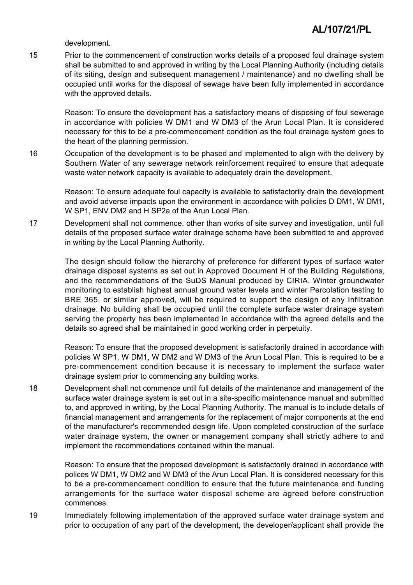development.

15 Prior to the commencement of construction works details of a proposed foul drainage system shall be submitted to and approved in writing by the Local Planning Authority (including details of its siting, design and subsequent management / maintenance) and no dwelling shall be occupied until works for the disposal of sewage have been fully implemented in accordance with the approved details.

Reason: To ensure the development has a satisfactory means of disposing of foul sewerage in accordance with policies W DM1 and W DM3 of the Arun Local Plan. It is considered necessary for this to be a pre-commencement condition as the foul drainage system goes to the heart of the planning permission.

16 Occupation of the development is to be phased and implemented to align with the delivery by Southern Water of any sewerage network reinforcement required to ensure that adequate waste water network capacity is available to adequately drain the development.

Reason: To ensure adequate foul capacity is available to satisfactorily drain the development and avoid adverse impacts upon the environment in accordance with policies D DM1, W DM1, W SP1, ENV DM2 and H SP2a of the Arun Local Plan.

17 Development shall not commence, other than works of site survey and investigation, until full details of the proposed surface water drainage scheme have been submitted to and approved in writing by the Local Planning Authority.

> The design should follow the hierarchy of preference for different types of surface water drainage disposal systems as set out in Approved Document H of the Building Regulations, and the recommendations of the SuDS Manual produced by CIRIA. Winter groundwater monitoring to establish highest annual ground water levels and winter Percolation testing to BRE 365, or similar approved, will be required to support the design of any Infiltration drainage. No building shall be occupied until the complete surface water drainage system serving the property has been implemented in accordance with the agreed details and the details so agreed shall be maintained in good working order in perpetuity.

> Reason: To ensure that the proposed development is satisfactorily drained in accordance with policies W SP1, W DM1, W DM2 and W DM3 of the Arun Local Plan. This is required to be a pre-commencement condition because it is necessary to implement the surface water drainage system prior to commencing any building works.

18 Development shall not commence until full details of the maintenance and management of the surface water drainage system is set out in a site-specific maintenance manual and submitted to, and approved in writing, by the Local Planning Authority. The manual is to include details of financial management and arrangements for the replacement of major components at the end of the manufacturer's recommended design life. Upon completed construction of the surface water drainage system, the owner or management company shall strictly adhere to and implement the recommendations contained within the manual.

Reason: To ensure that the proposed development is satisfactorily drained in accordance with polices W DM1, W DM2 and W DM3 of the Arun Local Plan. It is considered necessary for this to be a pre-commencement condition to ensure that the future maintenance and funding arrangements for the surface water disposal scheme are agreed before construction commences.

19 Immediately following implementation of the approved surface water drainage system and prior to occupation of any part of the development, the developer/applicant shall provide the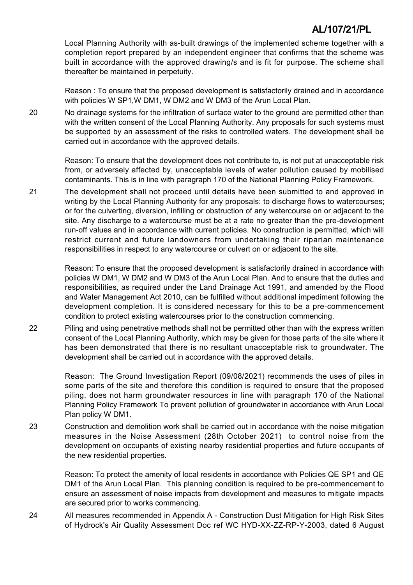Local Planning Authority with as-built drawings of the implemented scheme together with a completion report prepared by an independent engineer that confirms that the scheme was built in accordance with the approved drawing/s and is fit for purpose. The scheme shall thereafter be maintained in perpetuity.

Reason : To ensure that the proposed development is satisfactorily drained and in accordance with policies W SP1,W DM1, W DM2 and W DM3 of the Arun Local Plan.

20 No drainage systems for the infiltration of surface water to the ground are permitted other than with the written consent of the Local Planning Authority. Any proposals for such systems must be supported by an assessment of the risks to controlled waters. The development shall be carried out in accordance with the approved details.

> Reason: To ensure that the development does not contribute to, is not put at unacceptable risk from, or adversely affected by, unacceptable levels of water pollution caused by mobilised contaminants. This is in line with paragraph 170 of the National Planning Policy Framework.

21 The development shall not proceed until details have been submitted to and approved in writing by the Local Planning Authority for any proposals: to discharge flows to watercourses; or for the culverting, diversion, infilling or obstruction of any watercourse on or adjacent to the site. Any discharge to a watercourse must be at a rate no greater than the pre-development run-off values and in accordance with current policies. No construction is permitted, which will restrict current and future landowners from undertaking their riparian maintenance responsibilities in respect to any watercourse or culvert on or adjacent to the site.

> Reason: To ensure that the proposed development is satisfactorily drained in accordance with policies W DM1, W DM2 and W DM3 of the Arun Local Plan. And to ensure that the duties and responsibilities, as required under the Land Drainage Act 1991, and amended by the Flood and Water Management Act 2010, can be fulfilled without additional impediment following the development completion. It is considered necessary for this to be a pre-commencement condition to protect existing watercourses prior to the construction commencing.

22 Piling and using penetrative methods shall not be permitted other than with the express written consent of the Local Planning Authority, which may be given for those parts of the site where it has been demonstrated that there is no resultant unacceptable risk to groundwater. The development shall be carried out in accordance with the approved details.

> Reason: The Ground Investigation Report (09/08/2021) recommends the uses of piles in some parts of the site and therefore this condition is required to ensure that the proposed piling, does not harm groundwater resources in line with paragraph 170 of the National Planning Policy Framework To prevent pollution of groundwater in accordance with Arun Local Plan policy W DM1.

23 Construction and demolition work shall be carried out in accordance with the noise mitigation measures in the Noise Assessment (28th October 2021) to control noise from the development on occupants of existing nearby residential properties and future occupants of the new residential properties.

> Reason: To protect the amenity of local residents in accordance with Policies QE SP1 and QE DM1 of the Arun Local Plan. This planning condition is required to be pre-commencement to ensure an assessment of noise impacts from development and measures to mitigate impacts are secured prior to works commencing.

24 All measures recommended in Appendix A - Construction Dust Mitigation for High Risk Sites of Hydrock's Air Quality Assessment Doc ref WC HYD-XX-ZZ-RP-Y-2003, dated 6 August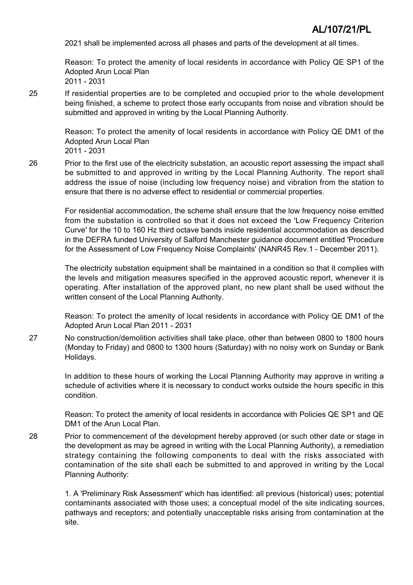2021 shall be implemented across all phases and parts of the development at all times.

Reason: To protect the amenity of local residents in accordance with Policy QE SP1 of the Adopted Arun Local Plan 2011 - 2031

25 If residential properties are to be completed and occupied prior to the whole development being finished, a scheme to protect those early occupants from noise and vibration should be submitted and approved in writing by the Local Planning Authority.

> Reason: To protect the amenity of local residents in accordance with Policy QE DM1 of the Adopted Arun Local Plan

2011 - 2031

26 Prior to the first use of the electricity substation, an acoustic report assessing the impact shall be submitted to and approved in writing by the Local Planning Authority. The report shall address the issue of noise (including low frequency noise) and vibration from the station to ensure that there is no adverse effect to residential or commercial properties.

For residential accommodation, the scheme shall ensure that the low frequency noise emitted from the substation is controlled so that it does not exceed the 'Low Frequency Criterion Curve' for the 10 to 160 Hz third octave bands inside residential accommodation as described in the DEFRA funded University of Salford Manchester guidance document entitled 'Procedure for the Assessment of Low Frequency Noise Complaints' (NANR45 Rev.1 - December 2011).

The electricity substation equipment shall be maintained in a condition so that it complies with the levels and mitigation measures specified in the approved acoustic report, whenever it is operating. After installation of the approved plant, no new plant shall be used without the written consent of the Local Planning Authority.

Reason: To protect the amenity of local residents in accordance with Policy QE DM1 of the Adopted Arun Local Plan 2011 - 2031

27 No construction/demolition activities shall take place, other than between 0800 to 1800 hours (Monday to Friday) and 0800 to 1300 hours (Saturday) with no noisy work on Sunday or Bank Holidays.

In addition to these hours of working the Local Planning Authority may approve in writing a schedule of activities where it is necessary to conduct works outside the hours specific in this condition.

Reason: To protect the amenity of local residents in accordance with Policies QE SP1 and QE DM1 of the Arun Local Plan.

28 Prior to commencement of the development hereby approved (or such other date or stage in the development as may be agreed in writing with the Local Planning Authority), a remediation strategy containing the following components to deal with the risks associated with contamination of the site shall each be submitted to and approved in writing by the Local Planning Authority:

> 1. A 'Preliminary Risk Assessment' which has identified: all previous (historical) uses; potential contaminants associated with those uses; a conceptual model of the site indicating sources, pathways and receptors; and potentially unacceptable risks arising from contamination at the site.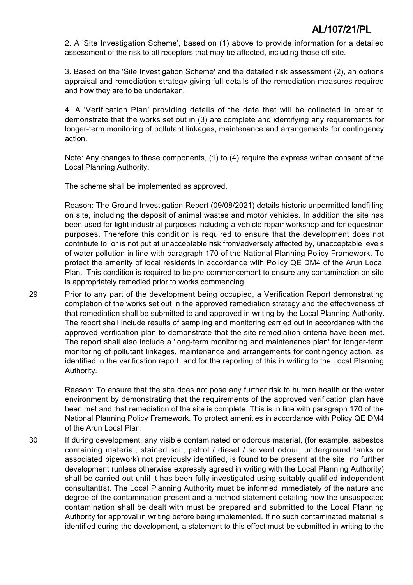2. A 'Site Investigation Scheme', based on (1) above to provide information for a detailed assessment of the risk to all receptors that may be affected, including those off site.

3. Based on the 'Site Investigation Scheme' and the detailed risk assessment (2), an options appraisal and remediation strategy giving full details of the remediation measures required and how they are to be undertaken.

4. A 'Verification Plan' providing details of the data that will be collected in order to demonstrate that the works set out in (3) are complete and identifying any requirements for longer-term monitoring of pollutant linkages, maintenance and arrangements for contingency action.

Note: Any changes to these components, (1) to (4) require the express written consent of the Local Planning Authority.

The scheme shall be implemented as approved.

Reason: The Ground Investigation Report (09/08/2021) details historic unpermitted landfilling on site, including the deposit of animal wastes and motor vehicles. In addition the site has been used for light industrial purposes including a vehicle repair workshop and for equestrian purposes. Therefore this condition is required to ensure that the development does not contribute to, or is not put at unacceptable risk from/adversely affected by, unacceptable levels of water pollution in line with paragraph 170 of the National Planning Policy Framework. To protect the amenity of local residents in accordance with Policy QE DM4 of the Arun Local Plan. This condition is required to be pre-commencement to ensure any contamination on site is appropriately remedied prior to works commencing.

29 Prior to any part of the development being occupied, a Verification Report demonstrating completion of the works set out in the approved remediation strategy and the effectiveness of that remediation shall be submitted to and approved in writing by the Local Planning Authority. The report shall include results of sampling and monitoring carried out in accordance with the approved verification plan to demonstrate that the site remediation criteria have been met. The report shall also include a 'long-term monitoring and maintenance plan' for longer-term monitoring of pollutant linkages, maintenance and arrangements for contingency action, as identified in the verification report, and for the reporting of this in writing to the Local Planning Authority.

> Reason: To ensure that the site does not pose any further risk to human health or the water environment by demonstrating that the requirements of the approved verification plan have been met and that remediation of the site is complete. This is in line with paragraph 170 of the National Planning Policy Framework. To protect amenities in accordance with Policy QE DM4 of the Arun Local Plan.

30 If during development, any visible contaminated or odorous material, (for example, asbestos containing material, stained soil, petrol / diesel / solvent odour, underground tanks or associated pipework) not previously identified, is found to be present at the site, no further development (unless otherwise expressly agreed in writing with the Local Planning Authority) shall be carried out until it has been fully investigated using suitably qualified independent consultant(s). The Local Planning Authority must be informed immediately of the nature and degree of the contamination present and a method statement detailing how the unsuspected contamination shall be dealt with must be prepared and submitted to the Local Planning Authority for approval in writing before being implemented. If no such contaminated material is identified during the development, a statement to this effect must be submitted in writing to the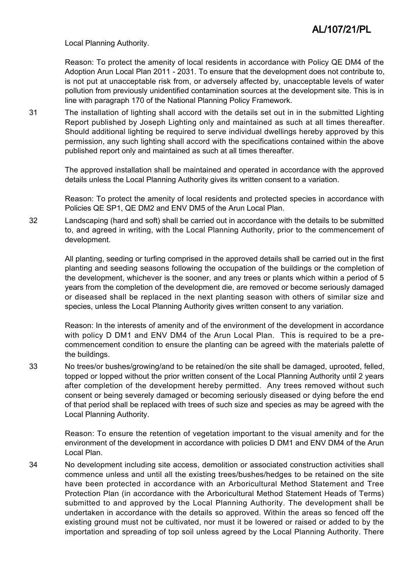Local Planning Authority.

Reason: To protect the amenity of local residents in accordance with Policy QE DM4 of the Adoption Arun Local Plan 2011 - 2031. To ensure that the development does not contribute to, is not put at unacceptable risk from, or adversely affected by, unacceptable levels of water pollution from previously unidentified contamination sources at the development site. This is in line with paragraph 170 of the National Planning Policy Framework.

31 The installation of lighting shall accord with the details set out in in the submitted Lighting Report published by Joseph Lighting only and maintained as such at all times thereafter. Should additional lighting be required to serve individual dwellings hereby approved by this permission, any such lighting shall accord with the specifications contained within the above published report only and maintained as such at all times thereafter.

> The approved installation shall be maintained and operated in accordance with the approved details unless the Local Planning Authority gives its written consent to a variation.

> Reason: To protect the amenity of local residents and protected species in accordance with Policies QE SP1, QE DM2 and ENV DM5 of the Arun Local Plan.

32 Landscaping (hard and soft) shall be carried out in accordance with the details to be submitted to, and agreed in writing, with the Local Planning Authority, prior to the commencement of development.

All planting, seeding or turfing comprised in the approved details shall be carried out in the first planting and seeding seasons following the occupation of the buildings or the completion of the development, whichever is the sooner, and any trees or plants which within a period of 5 years from the completion of the development die, are removed or become seriously damaged or diseased shall be replaced in the next planting season with others of similar size and species, unless the Local Planning Authority gives written consent to any variation.

Reason: In the interests of amenity and of the environment of the development in accordance with policy D DM1 and ENV DM4 of the Arun Local Plan. This is required to be a precommencement condition to ensure the planting can be agreed with the materials palette of the buildings.

33 No trees/or bushes/growing/and to be retained/on the site shall be damaged, uprooted, felled, topped or lopped without the prior written consent of the Local Planning Authority until 2 years after completion of the development hereby permitted. Any trees removed without such consent or being severely damaged or becoming seriously diseased or dying before the end of that period shall be replaced with trees of such size and species as may be agreed with the Local Planning Authority.

> Reason: To ensure the retention of vegetation important to the visual amenity and for the environment of the development in accordance with policies D DM1 and ENV DM4 of the Arun Local Plan.

34 No development including site access, demolition or associated construction activities shall commence unless and until all the existing trees/bushes/hedges to be retained on the site have been protected in accordance with an Arboricultural Method Statement and Tree Protection Plan (in accordance with the Arboricultural Method Statement Heads of Terms) submitted to and approved by the Local Planning Authority. The development shall be undertaken in accordance with the details so approved. Within the areas so fenced off the existing ground must not be cultivated, nor must it be lowered or raised or added to by the importation and spreading of top soil unless agreed by the Local Planning Authority. There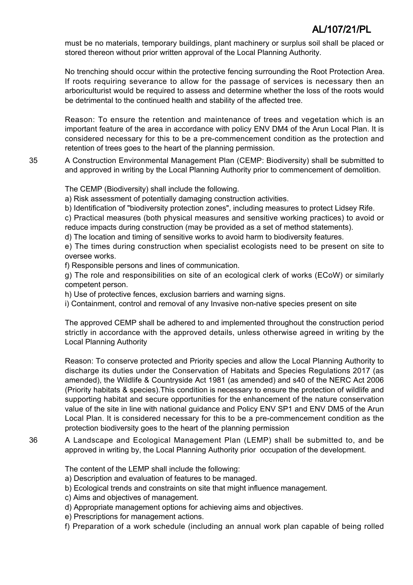must be no materials, temporary buildings, plant machinery or surplus soil shall be placed or stored thereon without prior written approval of the Local Planning Authority.

No trenching should occur within the protective fencing surrounding the Root Protection Area. If roots requiring severance to allow for the passage of services is necessary then an arboriculturist would be required to assess and determine whether the loss of the roots would be detrimental to the continued health and stability of the affected tree.

Reason: To ensure the retention and maintenance of trees and vegetation which is an important feature of the area in accordance with policy ENV DM4 of the Arun Local Plan. It is considered necessary for this to be a pre-commencement condition as the protection and retention of trees goes to the heart of the planning permission.

35 A Construction Environmental Management Plan (CEMP: Biodiversity) shall be submitted to and approved in writing by the Local Planning Authority prior to commencement of demolition.

The CEMP (Biodiversity) shall include the following.

a) Risk assessment of potentially damaging construction activities.

b) Identification of "biodiversity protection zones", including measures to protect Lidsey Rife.

c) Practical measures (both physical measures and sensitive working practices) to avoid or reduce impacts during construction (may be provided as a set of method statements).

d) The location and timing of sensitive works to avoid harm to biodiversity features.

e) The times during construction when specialist ecologists need to be present on site to oversee works.

f) Responsible persons and lines of communication.

g) The role and responsibilities on site of an ecological clerk of works (ECoW) or similarly competent person.

h) Use of protective fences, exclusion barriers and warning signs.

i) Containment, control and removal of any Invasive non-native species present on site

The approved CEMP shall be adhered to and implemented throughout the construction period strictly in accordance with the approved details, unless otherwise agreed in writing by the Local Planning Authority

Reason: To conserve protected and Priority species and allow the Local Planning Authority to discharge its duties under the Conservation of Habitats and Species Regulations 2017 (as amended), the Wildlife & Countryside Act 1981 (as amended) and s40 of the NERC Act 2006 (Priority habitats & species).This condition is necessary to ensure the protection of wildlife and supporting habitat and secure opportunities for the enhancement of the nature conservation value of the site in line with national guidance and Policy ENV SP1 and ENV DM5 of the Arun Local Plan. It is considered necessary for this to be a pre-commencement condition as the protection biodiversity goes to the heart of the planning permission

36 A Landscape and Ecological Management Plan (LEMP) shall be submitted to, and be approved in writing by, the Local Planning Authority prior occupation of the development.

The content of the LEMP shall include the following:

a) Description and evaluation of features to be managed.

b) Ecological trends and constraints on site that might influence management.

- c) Aims and objectives of management.
- d) Appropriate management options for achieving aims and objectives.
- e) Prescriptions for management actions.
- f) Preparation of a work schedule (including an annual work plan capable of being rolled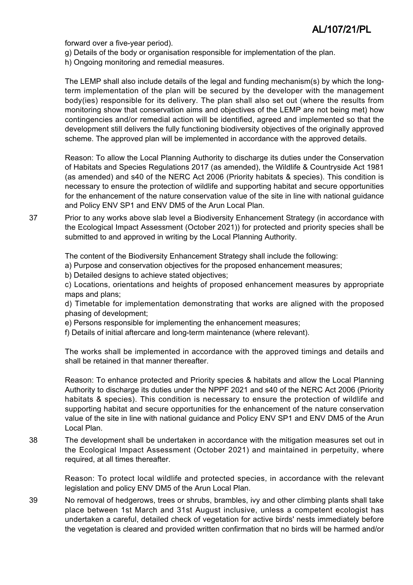forward over a five-year period).

- g) Details of the body or organisation responsible for implementation of the plan.
- h) Ongoing monitoring and remedial measures.

The LEMP shall also include details of the legal and funding mechanism(s) by which the longterm implementation of the plan will be secured by the developer with the management body(ies) responsible for its delivery. The plan shall also set out (where the results from monitoring show that conservation aims and objectives of the LEMP are not being met) how contingencies and/or remedial action will be identified, agreed and implemented so that the development still delivers the fully functioning biodiversity objectives of the originally approved scheme. The approved plan will be implemented in accordance with the approved details.

Reason: To allow the Local Planning Authority to discharge its duties under the Conservation of Habitats and Species Regulations 2017 (as amended), the Wildlife & Countryside Act 1981 (as amended) and s40 of the NERC Act 2006 (Priority habitats & species). This condition is necessary to ensure the protection of wildlife and supporting habitat and secure opportunities for the enhancement of the nature conservation value of the site in line with national guidance and Policy ENV SP1 and ENV DM5 of the Arun Local Plan.

37 Prior to any works above slab level a Biodiversity Enhancement Strategy (in accordance with the Ecological Impact Assessment (October 2021)) for protected and priority species shall be submitted to and approved in writing by the Local Planning Authority.

The content of the Biodiversity Enhancement Strategy shall include the following:

a) Purpose and conservation objectives for the proposed enhancement measures;

b) Detailed designs to achieve stated objectives;

c) Locations, orientations and heights of proposed enhancement measures by appropriate maps and plans;

d) Timetable for implementation demonstrating that works are aligned with the proposed phasing of development;

e) Persons responsible for implementing the enhancement measures;

f) Details of initial aftercare and long-term maintenance (where relevant).

The works shall be implemented in accordance with the approved timings and details and shall be retained in that manner thereafter.

Reason: To enhance protected and Priority species & habitats and allow the Local Planning Authority to discharge its duties under the NPPF 2021 and s40 of the NERC Act 2006 (Priority habitats & species). This condition is necessary to ensure the protection of wildlife and supporting habitat and secure opportunities for the enhancement of the nature conservation value of the site in line with national guidance and Policy ENV SP1 and ENV DM5 of the Arun Local Plan.

38 The development shall be undertaken in accordance with the mitigation measures set out in the Ecological Impact Assessment (October 2021) and maintained in perpetuity, where required, at all times thereafter.

> Reason: To protect local wildlife and protected species, in accordance with the relevant legislation and policy ENV DM5 of the Arun Local Plan.

39 No removal of hedgerows, trees or shrubs, brambles, ivy and other climbing plants shall take place between 1st March and 31st August inclusive, unless a competent ecologist has undertaken a careful, detailed check of vegetation for active birds' nests immediately before the vegetation is cleared and provided written confirmation that no birds will be harmed and/or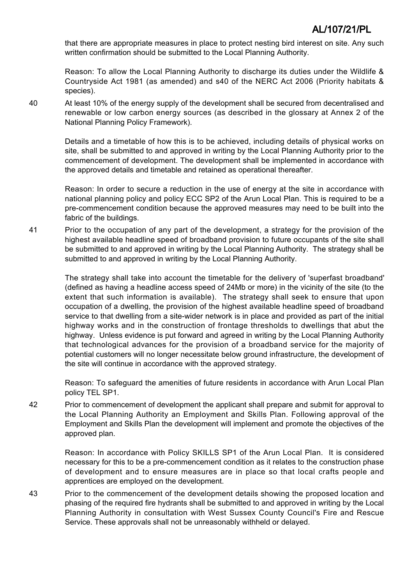that there are appropriate measures in place to protect nesting bird interest on site. Any such written confirmation should be submitted to the Local Planning Authority.

Reason: To allow the Local Planning Authority to discharge its duties under the Wildlife & Countryside Act 1981 (as amended) and s40 of the NERC Act 2006 (Priority habitats & species).

40 At least 10% of the energy supply of the development shall be secured from decentralised and renewable or low carbon energy sources (as described in the glossary at Annex 2 of the National Planning Policy Framework).

> Details and a timetable of how this is to be achieved, including details of physical works on site, shall be submitted to and approved in writing by the Local Planning Authority prior to the commencement of development. The development shall be implemented in accordance with the approved details and timetable and retained as operational thereafter.

> Reason: In order to secure a reduction in the use of energy at the site in accordance with national planning policy and policy ECC SP2 of the Arun Local Plan. This is required to be a pre-commencement condition because the approved measures may need to be built into the fabric of the buildings.

41 Prior to the occupation of any part of the development, a strategy for the provision of the highest available headline speed of broadband provision to future occupants of the site shall be submitted to and approved in writing by the Local Planning Authority. The strategy shall be submitted to and approved in writing by the Local Planning Authority.

> The strategy shall take into account the timetable for the delivery of 'superfast broadband' (defined as having a headline access speed of 24Mb or more) in the vicinity of the site (to the extent that such information is available). The strategy shall seek to ensure that upon occupation of a dwelling, the provision of the highest available headline speed of broadband service to that dwelling from a site-wider network is in place and provided as part of the initial highway works and in the construction of frontage thresholds to dwellings that abut the highway. Unless evidence is put forward and agreed in writing by the Local Planning Authority that technological advances for the provision of a broadband service for the majority of potential customers will no longer necessitate below ground infrastructure, the development of the site will continue in accordance with the approved strategy.

> Reason: To safeguard the amenities of future residents in accordance with Arun Local Plan policy TEL SP1.

42 Prior to commencement of development the applicant shall prepare and submit for approval to the Local Planning Authority an Employment and Skills Plan. Following approval of the Employment and Skills Plan the development will implement and promote the objectives of the approved plan.

> Reason: In accordance with Policy SKILLS SP1 of the Arun Local Plan. It is considered necessary for this to be a pre-commencement condition as it relates to the construction phase of development and to ensure measures are in place so that local crafts people and apprentices are employed on the development.

43 Prior to the commencement of the development details showing the proposed location and phasing of the required fire hydrants shall be submitted to and approved in writing by the Local Planning Authority in consultation with West Sussex County Council's Fire and Rescue Service. These approvals shall not be unreasonably withheld or delayed.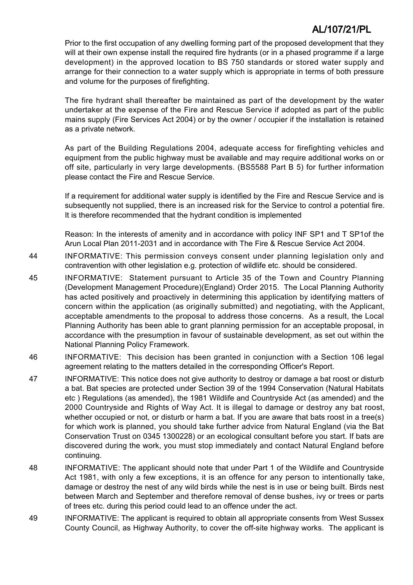Prior to the first occupation of any dwelling forming part of the proposed development that they will at their own expense install the required fire hydrants (or in a phased programme if a large development) in the approved location to BS 750 standards or stored water supply and arrange for their connection to a water supply which is appropriate in terms of both pressure and volume for the purposes of firefighting.

The fire hydrant shall thereafter be maintained as part of the development by the water undertaker at the expense of the Fire and Rescue Service if adopted as part of the public mains supply (Fire Services Act 2004) or by the owner / occupier if the installation is retained as a private network.

As part of the Building Regulations 2004, adequate access for firefighting vehicles and equipment from the public highway must be available and may require additional works on or off site, particularly in very large developments. (BS5588 Part B 5) for further information please contact the Fire and Rescue Service.

If a requirement for additional water supply is identified by the Fire and Rescue Service and is subsequently not supplied, there is an increased risk for the Service to control a potential fire. It is therefore recommended that the hydrant condition is implemented

Reason: In the interests of amenity and in accordance with policy INF SP1 and T SP1of the Arun Local Plan 2011-2031 and in accordance with The Fire & Rescue Service Act 2004.

44 INFORMATIVE: This permission conveys consent under planning legislation only and contravention with other legislation e.g. protection of wildlife etc. should be considered.

- 45 INFORMATIVE: Statement pursuant to Article 35 of the Town and Country Planning (Development Management Procedure)(England) Order 2015. The Local Planning Authority has acted positively and proactively in determining this application by identifying matters of concern within the application (as originally submitted) and negotiating, with the Applicant, acceptable amendments to the proposal to address those concerns. As a result, the Local Planning Authority has been able to grant planning permission for an acceptable proposal, in accordance with the presumption in favour of sustainable development, as set out within the National Planning Policy Framework.
- 46 INFORMATIVE: This decision has been granted in conjunction with a Section 106 legal agreement relating to the matters detailed in the corresponding Officer's Report.
- 47 INFORMATIVE: This notice does not give authority to destroy or damage a bat roost or disturb a bat. Bat species are protected under Section 39 of the 1994 Conservation (Natural Habitats etc ) Regulations (as amended), the 1981 Wildlife and Countryside Act (as amended) and the 2000 Countryside and Rights of Way Act. It is illegal to damage or destroy any bat roost, whether occupied or not, or disturb or harm a bat. If you are aware that bats roost in a tree(s) for which work is planned, you should take further advice from Natural England (via the Bat Conservation Trust on 0345 1300228) or an ecological consultant before you start. If bats are discovered during the work, you must stop immediately and contact Natural England before continuing.
- 48 INFORMATIVE: The applicant should note that under Part 1 of the Wildlife and Countryside Act 1981, with only a few exceptions, it is an offence for any person to intentionally take, damage or destroy the nest of any wild birds while the nest is in use or being built. Birds nest between March and September and therefore removal of dense bushes, ivy or trees or parts of trees etc. during this period could lead to an offence under the act.
- 49 INFORMATIVE: The applicant is required to obtain all appropriate consents from West Sussex County Council, as Highway Authority, to cover the off-site highway works. The applicant is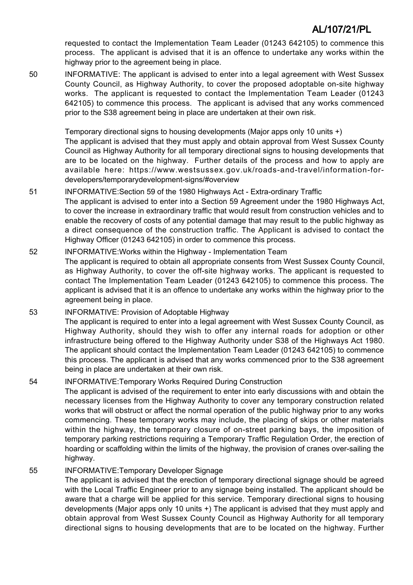requested to contact the Implementation Team Leader (01243 642105) to commence this process. The applicant is advised that it is an offence to undertake any works within the highway prior to the agreement being in place.

50 INFORMATIVE: The applicant is advised to enter into a legal agreement with West Sussex County Council, as Highway Authority, to cover the proposed adoptable on-site highway works. The applicant is requested to contact the Implementation Team Leader (01243 642105) to commence this process. The applicant is advised that any works commenced prior to the S38 agreement being in place are undertaken at their own risk.

> Temporary directional signs to housing developments (Major apps only 10 units +) The applicant is advised that they must apply and obtain approval from West Sussex County Council as Highway Authority for all temporary directional signs to housing developments that are to be located on the highway. Further details of the process and how to apply are available here: https://www.westsussex.gov.uk/roads-and-travel/information-fordevelopers/temporarydevelopment-signs/#overview

- 51 INFORMATIVE:Section 59 of the 1980 Highways Act Extra-ordinary Traffic The applicant is advised to enter into a Section 59 Agreement under the 1980 Highways Act, to cover the increase in extraordinary traffic that would result from construction vehicles and to enable the recovery of costs of any potential damage that may result to the public highway as a direct consequence of the construction traffic. The Applicant is advised to contact the Highway Officer (01243 642105) in order to commence this process.
- 52 INFORMATIVE:Works within the Highway Implementation Team The applicant is required to obtain all appropriate consents from West Sussex County Council, as Highway Authority, to cover the off-site highway works. The applicant is requested to contact The Implementation Team Leader (01243 642105) to commence this process. The applicant is advised that it is an offence to undertake any works within the highway prior to the agreement being in place.

53 INFORMATIVE: Provision of Adoptable Highway The applicant is required to enter into a legal agreement with West Sussex County Council, as Highway Authority, should they wish to offer any internal roads for adoption or other infrastructure being offered to the Highway Authority under S38 of the Highways Act 1980. The applicant should contact the Implementation Team Leader (01243 642105) to commence this process. The applicant is advised that any works commenced prior to the S38 agreement being in place are undertaken at their own risk.

54 INFORMATIVE:Temporary Works Required During Construction The applicant is advised of the requirement to enter into early discussions with and obtain the necessary licenses from the Highway Authority to cover any temporary construction related works that will obstruct or affect the normal operation of the public highway prior to any works commencing. These temporary works may include, the placing of skips or other materials within the highway, the temporary closure of on-street parking bays, the imposition of temporary parking restrictions requiring a Temporary Traffic Regulation Order, the erection of hoarding or scaffolding within the limits of the highway, the provision of cranes over-sailing the highway.

55 INFORMATIVE:Temporary Developer Signage The applicant is advised that the erection of temporary directional signage should be agreed with the Local Traffic Engineer prior to any signage being installed. The applicant should be aware that a charge will be applied for this service. Temporary directional signs to housing developments (Major apps only 10 units +) The applicant is advised that they must apply and obtain approval from West Sussex County Council as Highway Authority for all temporary directional signs to housing developments that are to be located on the highway. Further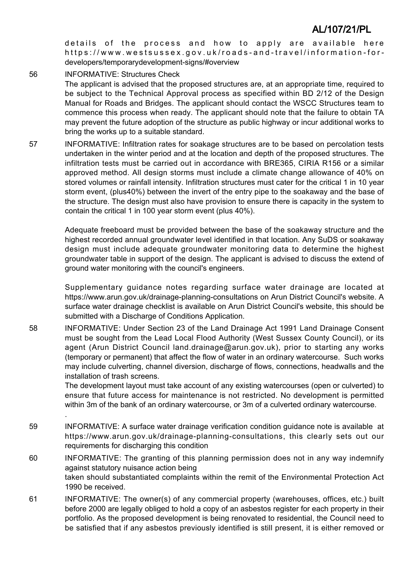details of the process and how to apply are available here https://www.westsussex.gov.uk/roads-and-travel/information-fordevelopers/temporarydevelopment-signs/#overview

56 INFORMATIVE: Structures Check The applicant is advised that the proposed structures are, at an appropriate time, required to be subject to the Technical Approval process as specified within BD 2/12 of the Design Manual for Roads and Bridges. The applicant should contact the WSCC Structures team to commence this process when ready. The applicant should note that the failure to obtain TA may prevent the future adoption of the structure as public highway or incur additional works to bring the works up to a suitable standard.

57 INFORMATIVE: Infiltration rates for soakage structures are to be based on percolation tests undertaken in the winter period and at the location and depth of the proposed structures. The infiltration tests must be carried out in accordance with BRE365, CIRIA R156 or a similar approved method. All design storms must include a climate change allowance of 40% on stored volumes or rainfall intensity. Infiltration structures must cater for the critical 1 in 10 year storm event, (plus40%) between the invert of the entry pipe to the soakaway and the base of the structure. The design must also have provision to ensure there is capacity in the system to contain the critical 1 in 100 year storm event (plus 40%).

Adequate freeboard must be provided between the base of the soakaway structure and the highest recorded annual groundwater level identified in that location. Any SuDS or soakaway design must include adequate groundwater monitoring data to determine the highest groundwater table in support of the design. The applicant is advised to discuss the extend of ground water monitoring with the council's engineers.

Supplementary guidance notes regarding surface water drainage are located at https://www.arun.gov.uk/drainage-planning-consultations on Arun District Council's website. A surface water drainage checklist is available on Arun District Council's website, this should be submitted with a Discharge of Conditions Application.

58 INFORMATIVE: Under Section 23 of the Land Drainage Act 1991 Land Drainage Consent must be sought from the Lead Local Flood Authority (West Sussex County Council), or its agent (Arun District Council land.drainage@arun.gov.uk), prior to starting any works (temporary or permanent) that affect the flow of water in an ordinary watercourse. Such works may include culverting, channel diversion, discharge of flows, connections, headwalls and the installation of trash screens.

> The development layout must take account of any existing watercourses (open or culverted) to ensure that future access for maintenance is not restricted. No development is permitted within 3m of the bank of an ordinary watercourse, or 3m of a culverted ordinary watercourse.

59 INFORMATIVE: A surface water drainage verification condition guidance note is available at https://www.arun.gov.uk/drainage-planning-consultations, this clearly sets out our requirements for discharging this condition

.

- 60 INFORMATIVE: The granting of this planning permission does not in any way indemnify against statutory nuisance action being taken should substantiated complaints within the remit of the Environmental Protection Act 1990 be received.
- 61 INFORMATIVE: The owner(s) of any commercial property (warehouses, offices, etc.) built before 2000 are legally obliged to hold a copy of an asbestos register for each property in their portfolio. As the proposed development is being renovated to residential, the Council need to be satisfied that if any asbestos previously identified is still present, it is either removed or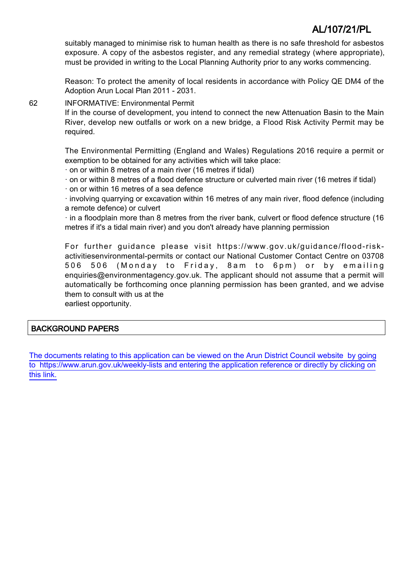suitably managed to minimise risk to human health as there is no safe threshold for asbestos exposure. A copy of the asbestos register, and any remedial strategy (where appropriate), must be provided in writing to the Local Planning Authority prior to any works commencing.

Reason: To protect the amenity of local residents in accordance with Policy QE DM4 of the Adoption Arun Local Plan 2011 - 2031.

62 INFORMATIVE: Environmental Permit

If in the course of development, you intend to connect the new Attenuation Basin to the Main River, develop new outfalls or work on a new bridge, a Flood Risk Activity Permit may be required.

The Environmental Permitting (England and Wales) Regulations 2016 require a permit or exemption to be obtained for any activities which will take place:

- · on or within 8 metres of a main river (16 metres if tidal)
- · on or within 8 metres of a flood defence structure or culverted main river (16 metres if tidal)
- · on or within 16 metres of a sea defence

· involving quarrying or excavation within 16 metres of any main river, flood defence (including a remote defence) or culvert

· in a floodplain more than 8 metres from the river bank, culvert or flood defence structure (16 metres if it's a tidal main river) and you don't already have planning permission

For further guidance please visit https://www.gov.uk/guidance/flood-riskactivitiesenvironmental-permits or contact our National Customer Contact Centre on 03708 506 506 (Monday to Friday, 8am to 6pm) or by emailing enquiries@environmentagency.gov.uk. The applicant should not assume that a permit will automatically be forthcoming once planning permission has been granted, and we advise them to consult with us at the

earliest opportunity.

### BACKGROUND PAPERS

[The documents relating to this application can be viewed on the Arun District Council website by going](http://www1.arun.gov.uk/planrec/index.cfm?tpkey=eOcella&user_key_1=AL/107/21/PL&keyscheme=planning) [to https://www.arun.gov.uk/weekly-lists and entering the application reference or directly by clicking on](http://www1.arun.gov.uk/planrec/index.cfm?tpkey=eOcella&user_key_1=AL/107/21/PL&keyscheme=planning) [this link.](http://www1.arun.gov.uk/planrec/index.cfm?tpkey=eOcella&user_key_1=AL/107/21/PL&keyscheme=planning)